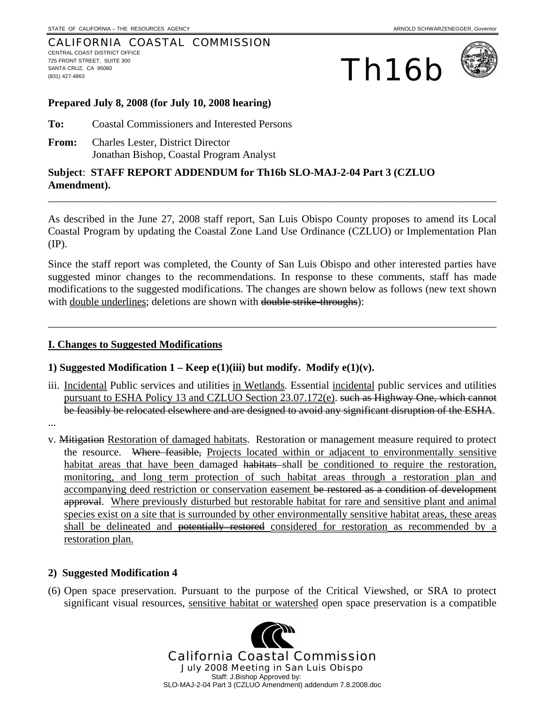#### CALIFORNIA COASTAL COMMISSION CENTRAL COAST DISTRICT OFFICE 725 FRONT STREET, SUITE 300 SANTA CRUZ, CA 95060 The SANTA CRUZ, CA 95060<br>
(831) 427-4863<br>
(831) 427-4863





### **Prepared July 8, 2008 (for July 10, 2008 hearing)**

- **To:** Coastal Commissioners and Interested Persons
- **From:** Charles Lester, District Director Jonathan Bishop, Coastal Program Analyst

### **Subject**: **STAFF REPORT ADDENDUM for Th16b SLO-MAJ-2-04 Part 3 (CZLUO Amendment).**

As described in the June 27, 2008 staff report, San Luis Obispo County proposes to amend its Local Coastal Program by updating the Coastal Zone Land Use Ordinance (CZLUO) or Implementation Plan (IP).

\_\_\_\_\_\_\_\_\_\_\_\_\_\_\_\_\_\_\_\_\_\_\_\_\_\_\_\_\_\_\_\_\_\_\_\_\_\_\_\_\_\_\_\_\_\_\_\_\_\_\_\_\_\_\_\_\_\_\_\_\_\_\_\_\_\_\_\_\_\_\_\_\_\_\_\_\_\_\_\_\_\_\_\_

Since the staff report was completed, the County of San Luis Obispo and other interested parties have suggested minor changes to the recommendations. In response to these comments, staff has made modifications to the suggested modifications. The changes are shown below as follows (new text shown with double underlines; deletions are shown with double strike-throughs):

\_\_\_\_\_\_\_\_\_\_\_\_\_\_\_\_\_\_\_\_\_\_\_\_\_\_\_\_\_\_\_\_\_\_\_\_\_\_\_\_\_\_\_\_\_\_\_\_\_\_\_\_\_\_\_\_\_\_\_\_\_\_\_\_\_\_\_\_\_\_\_\_\_\_\_\_\_\_\_\_\_\_\_\_

### **I. Changes to Suggested Modifications**

### 1) Suggested Modification  $1 - \text{Keep e}(1)(iii)$  but modify. Modify  $e(1)(v)$ .

- iii. Incidental Public services and utilities in Wetlands. Essential incidental public services and utilities pursuant to ESHA Policy 13 and CZLUO Section 23.07.172(e). such as Highway One, which cannot be feasibly be relocated elsewhere and are designed to avoid any significant disruption of the ESHA.
- ...
- v. Mitigation Restoration of damaged habitats. Restoration or management measure required to protect the resource. Where feasible, Projects located within or adjacent to environmentally sensitive habitat areas that have been damaged habitats shall be conditioned to require the restoration, monitoring, and long term protection of such habitat areas through a restoration plan and accompanying deed restriction or conservation easement be restored as a condition of development approval. Where previously disturbed but restorable habitat for rare and sensitive plant and animal species exist on a site that is surrounded by other environmentally sensitive habitat areas, these areas shall be delineated and potentially restored considered for restoration as recommended by a restoration plan.

### **2) Suggested Modification 4**

(6) Open space preservation. Pursuant to the purpose of the Critical Viewshed, or SRA to protect significant visual resources, sensitive habitat or watershed open space preservation is a compatible

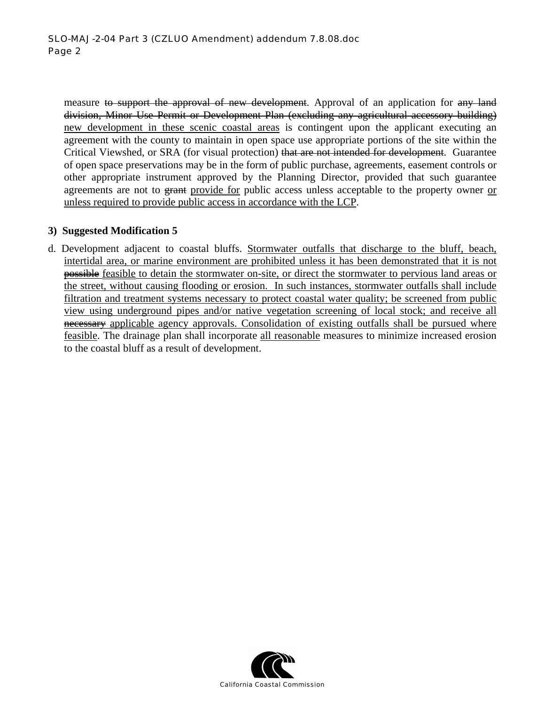measure to support the approval of new development. Approval of an application for any land division, Minor Use Permit or Development Plan (excluding any agricultural accessory building) new development in these scenic coastal areas is contingent upon the applicant executing an agreement with the county to maintain in open space use appropriate portions of the site within the Critical Viewshed, or SRA (for visual protection) that are not intended for development. Guarantee of open space preservations may be in the form of public purchase, agreements, easement controls or other appropriate instrument approved by the Planning Director, provided that such guarantee agreements are not to grant provide for public access unless acceptable to the property owner or unless required to provide public access in accordance with the LCP.

### **3) Suggested Modification 5**

d. Development adjacent to coastal bluffs. Stormwater outfalls that discharge to the bluff, beach, intertidal area, or marine environment are prohibited unless it has been demonstrated that it is not possible feasible to detain the stormwater on-site, or direct the stormwater to pervious land areas or the street, without causing flooding or erosion. In such instances, stormwater outfalls shall include filtration and treatment systems necessary to protect coastal water quality; be screened from public view using underground pipes and/or native vegetation screening of local stock; and receive all necessary applicable agency approvals. Consolidation of existing outfalls shall be pursued where feasible. The drainage plan shall incorporate all reasonable measures to minimize increased erosion to the coastal bluff as a result of development.

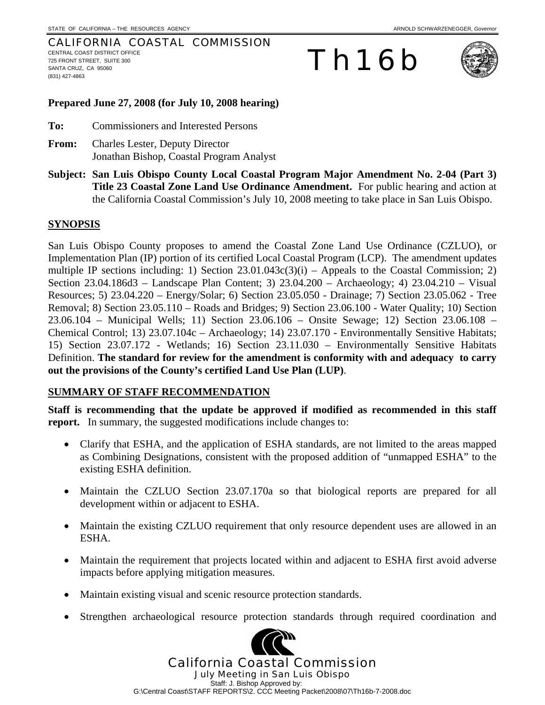#### CALIFORNIA COASTAL COMMISSION CENTRAL COAST DISTRICT OFFICE 725 FRONT STREET, SUITE 300 SANTA CRUZ, CA 95060 (831) 427-4863

# Th16b



### **Prepared June 27, 2008 (for July 10, 2008 hearing)**

**To:** Commissioners and Interested Persons

- **From:** Charles Lester, Deputy Director Jonathan Bishop, Coastal Program Analyst
- **Subject: San Luis Obispo County Local Coastal Program Major Amendment No. 2-04 (Part 3) Title 23 Coastal Zone Land Use Ordinance Amendment.** For public hearing and action at the California Coastal Commission's July 10, 2008 meeting to take place in San Luis Obispo.

### **SYNOPSIS**

San Luis Obispo County proposes to amend the Coastal Zone Land Use Ordinance (CZLUO), or Implementation Plan (IP) portion of its certified Local Coastal Program (LCP). The amendment updates multiple IP sections including: 1) Section  $23.01.043c(3)(i)$  – Appeals to the Coastal Commission; 2) Section 23.04.186d3 – Landscape Plan Content; 3) 23.04.200 – Archaeology; 4) 23.04.210 – Visual Resources; 5) 23.04.220 – Energy/Solar; 6) Section 23.05.050 - Drainage; 7) Section 23.05.062 - Tree Removal; 8) Section 23.05.110 – Roads and Bridges; 9) Section 23.06.100 - Water Quality; 10) Section 23.06.104 – Municipal Wells; 11) Section 23.06.106 – Onsite Sewage; 12) Section 23.06.108 – Chemical Control; 13) 23.07.104c – Archaeology; 14) 23.07.170 - Environmentally Sensitive Habitats; 15) Section 23.07.172 - Wetlands; 16) Section 23.11.030 – Environmentally Sensitive Habitats Definition. **The standard for review for the amendment is conformity with and adequacy to carry out the provisions of the County's certified Land Use Plan (LUP)**.

### **SUMMARY OF STAFF RECOMMENDATION**

**Staff is recommending that the update be approved if modified as recommended in this staff report.** In summary, the suggested modifications include changes to:

- Clarify that ESHA, and the application of ESHA standards, are not limited to the areas mapped as Combining Designations, consistent with the proposed addition of "unmapped ESHA" to the existing ESHA definition.
- Maintain the CZLUO Section 23.07.170a so that biological reports are prepared for all development within or adjacent to ESHA.
- Maintain the existing CZLUO requirement that only resource dependent uses are allowed in an ESHA.
- Maintain the requirement that projects located within and adjacent to ESHA first avoid adverse impacts before applying mitigation measures.
- Maintain existing visual and scenic resource protection standards.
- Strengthen archaeological resource protection standards through required coordination and

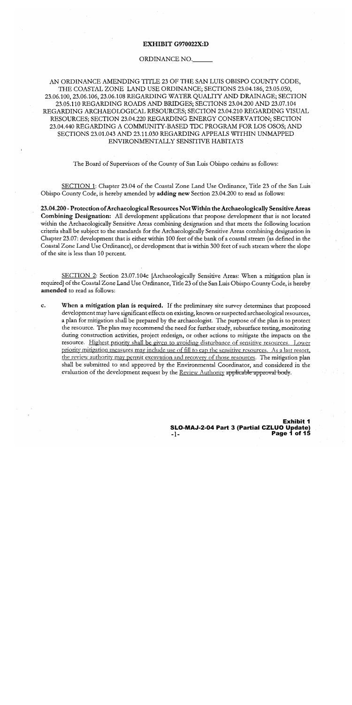### EXHIBIT G970022X:D

#### ORDINANCE NO.

AN ORDINANCE AMENDING TITLE 23 OF THE SAN LUIS OBISPO COUNTY CODE, THE COASTAL ZONE LAND USE ORDINANCE; SECTIONS 23.04.186, 23.05.050, 23.06.100, 23.06.106, 23.06.108 REGARDING WATER QUALITY AND DRAINAGE; SECTION 23.05.110 REGARDING ROADS AND BRIDGES; SECTIONS 23.04.200 AND 23.07.104 REGARDING ARCHAEOLOGICAL RESOURCES; SECTION 23.04.210 REGARDING VISUAL RESOURCES; SECTION 23.04.220 REGARDING ENERGY CONSERVATION; SECTION 23.04.440 REGARDING A COMMUNITY-BASED TDC PROGRAM FOR LOS OSOS; AND SECTIONS 23.01.043 AND 23.11.030 REGARDING APPEALS WITHIN UNMAPPED ENVIRONMENTALLY SENSITIVE HABITATS

The Board of Supervisors of the County of San Luis Obispo ordains as follows:

SECTION 1: Chapter 23.04 of the Coastal Zone Land Use Ordinance, Title 23 of the San Luis Obispo County Code, is hereby amended by adding new Section 23.04.200 to read as follows:

23.04.200 - Protection of Archaeological Resources Not Within the Archaeologically Sensitive Areas **Combining Designation:** All development applications that propose development that is not located within the Archaeologically Sensitive Areas combining designation and that meets the following location criteria shall be subject to the standards for the Archaeologically Sensitive Areas combining designation in Chapter 23.07: development that is either within 100 feet of the bank of a coastal stream (as defined in the Coastal Zone Land Use Ordinance), or development that is within 300 feet of such stream where the slope of the site is less than 10 percent.

SECTION 2: Section 23.07.104c [Archaeologically Sensitive Areas: When a mitigation plan is required] of the Coastal Zone Land Use Ordinance, Title 23 of the San Luis Obispo County Code, is hereby amended to read as follows:

 $\mathbf{c}$ . When a mitigation plan is required. If the preliminary site survey determines that proposed development may have significant effects on existing, known or suspected archaeological resources, a plan for mitigation shall be prepared by the archaeologist. The purpose of the plan is to protect the resource. The plan may recommend the need for further study, subsurface testing, monitoring during construction activities, project redesign, or other actions to mitigate the impacts on the resource. Highest priority shall be given to avoiding disturbance of sensitive resources. Lower priority mitigation measures may include use of fill to cap the sensitive resources. As a last resort, the review authority may permit excavation and recovery of those resources. The mitigation plan shall be submitted to and approved by the Environmental Coordinator, and considered in the evaluation of the development request by the Review Authority applicable approval body.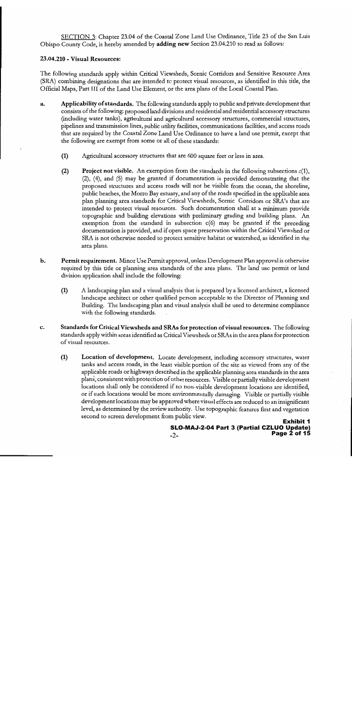SECTION 3: Chapter 23.04 of the Coastal Zone Land Use Ordinance, Title 23 of the San Luis Obispo County Code, is hereby amended by adding new Section 23.04.210 to read as follows:

### 23.04.210 - Visual Resources:

The following standards apply within Critical Viewsheds, Scenic Corridors and Sensitive Resource Area (SRA) combining designations that are intended to protect visual resources, as identified in this title, the Official Maps, Part III of the Land Use Element, or the area plans of the Local Coastal Plan.

- a. Applicability of standards. The following standards apply to public and private development that consists of the following: proposed land divisions and residential and residential accessory structures (including water tanks), agricultural and agricultural accessory structures, commercial structures, pipelines and transmission lines, public utility facilities, communications facilities, and access roads that are required by the Coastal Zone Land Use Ordinance to have a land use permit, except that the following are exempt from some or all of these standards:
	- $(1)$ Agricultural accessory structures that are 600 square feet or less in area.
	- $(2)$ **Project not visible.** An exemption from the standards in the following subsections  $c(1)$ , (2), (4), and (5) may be granted if documentation is provided demonstrating that the proposed structures and access roads will not be visible from the ocean, the shoreline, public beaches, the Morro Bay estuary, and any of the roads specified in the applicable area plan planning area standards for Critical Viewsheds, Scenic Corridors or SRA's that are intended to protect visual resources. Such documentation shall at a minimum provide topographic and building elevations with preliminary grading and building plans. An exemption from the standard in subsection  $c(6)$  may be granted if the preceding documentation is provided, and if open space preservation within the Critical Viewshed or SRA is not otherwise needed to protect sensitive habitat or watershed, as identified in the area plans.
- Permit requirement. Minor Use Permit approval, unless Development Plan approval is otherwise  $\mathbf b$ . required by this title or planning area standards of the area plans. The land use permit or land division application shall include the following:
	- A landscaping plan and a visual analysis that is prepared by a licensed architect, a licensed  $(1)$ landscape architect or other qualified person acceptable to the Director of Planning and Building. The landscaping plan and visual analysis shall be used to determine compliance with the following standards.
- Standards for Critical Viewsheds and SRAs for protection of visual resources. The following c. standards apply within areas identified as Critical Viewsheds or SRAs in the area plans for protection of visual resources.
	- **Location of development.** Locate development, including accessory structures, water  $(1)$ tanks and access roads, in the least visible portion of the site as viewed from any of the applicable roads or highways described in the applicable planning area standards in the area plans, consistent with protection of other resources. Visible or partially visible development locations shall only be considered if no non-visible development locations are identified, or if such locations would be more environmentally damaging. Visible or partially visible development locations may be approved where visual effects are reduced to an insignificant level, as determined by the review authority. Use topographic features first and vegetation second to screen development from public view.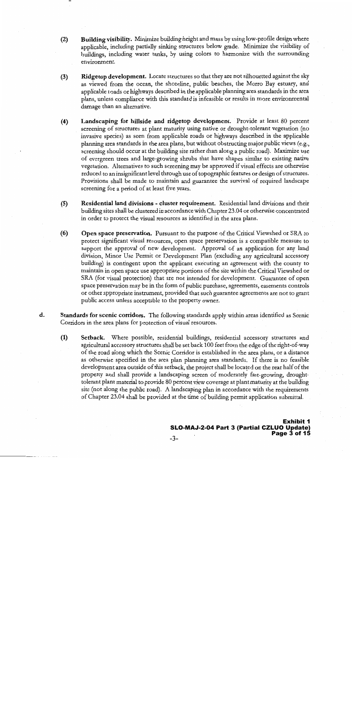- $(2)$ Building visibility. Minimize building height and mass by using low-profile design where applicable, including partially sinking structures below grade. Minimize the visibility of buildings, including water tanks, by using colors to harmonize with the surrounding environment.
- Ridgetop development. Locate structures so that they are not silhouetted against the sky  $(3)$ as viewed from the ocean, the shoreline, public beaches, the Morro Bay estuary, and applicable roads or highways described in the applicable planning area standards in the area plans, unless compliance with this standard is infeasible or results in more environmental damage than an alternative.
- $(4)$ Landscaping for hillside and ridgetop development. Provide at least 80 percent screening of structures at plant maturity using native or drought-tolerant vegetation (no invasive species) as seen from applicable roads or highways described in the applicable planning area standards in the area plans, but without obstructing major public views (e.g., screening should occur at the building site rather than along a public road). Maximize use of evergreen trees and large-growing shrubs that have shapes similar to existing native vegetation. Alternatives to such screening may be approved if visual effects are otherwise reduced to an insignificant level through use of topographic features or design of structures. Provisions shall be made to maintain and guarantee the survival of required landscape screening for a period of at least five years.
- $(5)$ Residential land divisions - cluster requirement. Residential land divisions and their building sites shall be clustered in accordance with Chapter 23.04 or otherwise concentrated in order to protect the visual resources as identified in the area plans.
- $(6)$ Open space preservation. Pursuant to the purpose of the Critical Viewshed or SRA to protect significant visual resources, open space preservation is a compatible measure to support the approval of new development. Approval of an application for any land division, Minor Use Permit or Development Plan (excluding any agricultural accessory building) is contingent upon the applicant executing an agreement with the county to maintain in open space use appropriate portions of the site within the Critical Viewshed or SRA (for visual protection) that are not intended for development. Guarantee of open space preservation may be in the form of public purchase, agreements, easements controls or other appropriate instrument, provided that such guarantee agreements are not to grant public access unless acceptable to the property owner.
- $\mathbf{d}$ . Standards for scenic corridors. The following standards apply within areas identified as Scenic Corridors in the area plans for protection of visual resources.
	- $(1)$ Setback. Where possible, residential buildings, residential accessory structures and agricultural accessory structures shall be set back 100 feet from the edge of the right-of-way of the road along which the Scenic Corridor is established in the area plans, or a distance as otherwise specified in the area plan planning area standards. If there is no feasible development area outside of this setback, the project shall be located on the rear half of the property and shall provide a landscaping screen of moderately fast-growing, droughttolerant plant material to provide 80 percent view coverage at plant maturity at the building site (not along the public road). A landscaping plan in accordance with the requirements of Chapter 23.04 shall be provided at the time of building permit application submittal.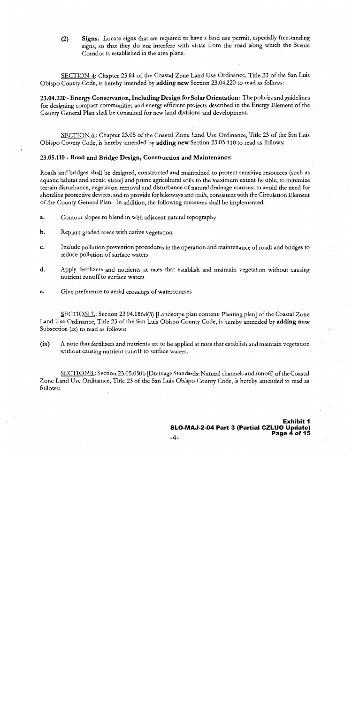Signs. Locate signs that are required to have a land use permit, especially freestanding  $(2)$ signs, so that they do not interfere with vistas from the road along which the Scenic Corridor is established in the area plans.

SECTION 4: Chapter 23.04 of the Coastal Zone Land Use Ordinance, Title 23 of the San Luis Obispo County Code, is hereby amended by adding new Section 23.04.220 to read as follows:

23.04.220 - Energy Conservation, Including Design for Solar Orientation: The policies and guidelines for designing compact communities and energy efficient projects described in the Energy Element of the County General Plan shall be consulted for new land divisions and development.

SECTION 6.: Chapter 23.05 of the Coastal Zone Land Use Ordinance, Title 23 of the San Luis Obispo County Code, is hereby amended by adding new Section 23.05.110 to read as follows:

### 23.05.110 - Road and Bridge Design, Construction and Maintenance:

Roads and bridges shall be designed, constructed and maintained to protect sensitive resources (such as aquatic habitat and scenic vistas) and prime agricultural soils to the maximum extent feasible; to minimize terrain disturbance, vegetation removal and disturbance of natural drainage courses; to avoid the need for shoreline protective devices; and to provide for bikeways and trails, consistent with the Circulation Element of the County General Plan. In addition, the following measures shall be implemented:

- Contour slopes to blend in with adjacent natural topography  $\mathbf{a}$ .
- b. Replant graded areas with native vegetation
- Include pollution prevention procedures in the operation and maintenance of roads and bridges to c. reduce pollution of surface waters
- d. Apply fertilizers and nutrients at rates that establish and maintain vegetation without causing nutrient runoff to surface waters
- Give preference to aerial crossings of watercourses e.

SECTION 7.: Section 23.04.186d(3) [Landscape plan content: Planting plan] of the Coastal Zone Land Use Ordinance, Title 23 of the San Luis Obispo County Code, is hereby amended by adding new Subsection (ix) to read as follows:

 $(ix)$ A note that fertilizers and nutrients are to be applied at rates that establish and maintain vegetation without causing nutrient runoff to surface waters.

SECTION 8.: Section 23.05.050b [Drainage Standards: Natural channels and runoff] of the Coastal Zone Land Use Ordinance, Title 23 of the San Luis Obispo County Code, is hereby amended to read as follows: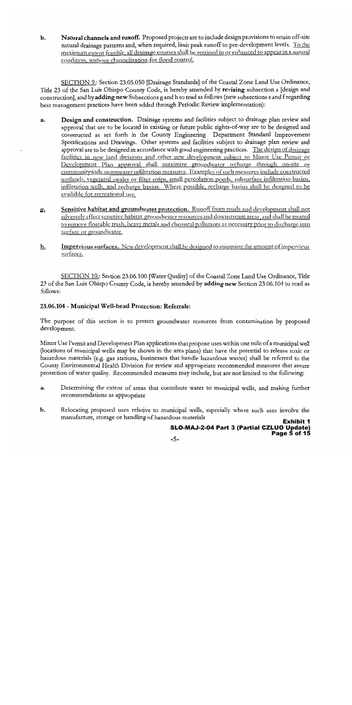Natural channels and runoff. Proposed projects are to include design provisions to retain off-site  $\mathbf b$ . natural drainage patterns and, when required, limit peak runoff to pre-development levels. To the maximum extent feasible, all drainage courses shall be retained in or enhanced to appear in a natural condition, without channelization for flood control.

SECTION 9.: Section 23.05.050 [Drainage Standards] of the Coastal Zone Land Use Ordinance, Title 23 of the San Luis Obispo County Code, is hereby amended by revising subsection a [design and construction], and by adding new Subsections g and h to read as follows (new subsections e and f regarding best management practices have been added through Periodic Review implementation):

- Design and construction. Drainage systems and facilities subject to drainage plan review and a. approval that are to be located in existing or future public rights-of-way are to be designed and constructed as set forth in the County Engineering Department Standard Improvement Specifications and Drawings. Other systems and facilities subject to drainage plan review and approval are to be designed in accordance with good engineering practices. The design of drainage facilities in new land divisions and other new development subject to Minor Use Permit or Development Plan approval shall maximize groundwater recharge through on-site or communitywide stormwater infiltration measures. Examples of such measures include constructed wetlands, vegetated swales or filter strips, small percolation ponds, subsurface infiltration basins, infiltration wells, and recharge basins. Where possible, recharge basins shall be designed to be available for recreational use.
- Sensitive habitat and groundwater protection. Runoff from roads and development shall not 2. adversely affect sensitive habitat, groundwater resources and downstream areas, and shall be treated to remove floatable trash, heavy metals and chemical pollutants as necessary prior to discharge into surface or groundwater.
- <u>h.</u> **Impervious surfaces.** New development shall be designed to minimize the amount of impervious surfaces.

SECTION 10.: Section 23.06.100 [Water Quality] of the Coastal Zone Land Use Ordinance, Title 23 of the San Luis Obispo County Code, is hereby amended by adding new Section 23.06.104 to read as follows:

### 23.06.104 - Municipal Well-head Protection: Referrals:

The purpose of this section is to protect groundwater resources from contamination by proposed development.

Minor Use Permit and Development Plan applications that propose uses within one mile of a municipal well (locations of municipal wells may be shown in the area plans) that have the potential to release toxic or hazardous materials (e.g. gas stations, businesses that handle hazardous wastes) shall be referred to the County Environmental Health Division for review and appropriate recommended measures that assure protection of water quality. Recommended measures may include, but are not limited to the following:

- Determining the extent of areas that contribute water to municipal wells, and making further a. recommendations as appropriate
- $\mathbf b$ . Relocating proposed uses relative to municipal wells, especially where such uses involve the manufacture, storage or handling of hazardous materials

**Exhibit 1** SLO-MAJ-2-04 Part 3 (Partial CZLUO Update) Page 5 of 15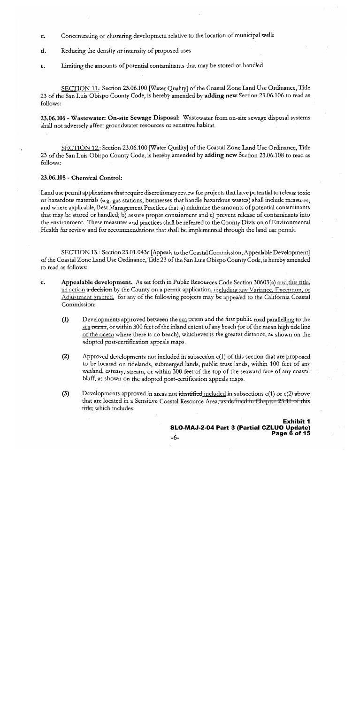- Concentrating or clustering development relative to the location of municipal wells  $\mathbf{c}$ .
- Reducing the density or intensity of proposed uses d.
- Limiting the amounts of potential contaminants that may be stored or handled e.

SECTION 11.: Section 23.06.100 [Water Quality] of the Coastal Zone Land Use Ordinance, Title 23 of the San Luis Obispo County Code, is hereby amended by **adding new** Section 23.06.106 to read as follows:

23.06.106 - Wastewater: On-site Sewage Disposal: Wastewater from on-site sewage disposal systems shall not adversely affect groundwater resources or sensitive habitat.

SECTION 12.: Section 23.06.100 [Water Quality] of the Coastal Zone Land Use Ordinance, Title 23 of the San Luis Obispo County Code, is hereby amended by adding new Section 23.06.108 to read as follows:

### 23.06.108 - Chemical Control:

Land use permit applications that require discretionary review for projects that have potential to release toxic or hazardous materials (e.g. gas stations, businesses that handle hazardous wastes) shall include measures, and where applicable, Best Management Practices that: a) minimize the amounts of potential contaminants that may be stored or handled; b) assure proper containment and c) prevent release of contaminants into the environment. These measures and practices shall be referred to the County Division of Environmental Health for review and for recommendations that shall be implemented through the land use permit.

SECTION 13.: Section 23.01.043c [Appeals to the Coastal Commission, Appealable Development] of the Coastal Zone Land Use Ordinance, Title 23 of the San Luis Obispo County Code, is hereby amended to read as follows:

- Appealable development. As set forth in Public Resources Code Section 30603(a) and this title, c. an action a decision by the County on a permit application, including any Variance, Exception, or Adjustment granted, for any of the following projects may be appealed to the California Coastal Commission:
	- $(1)$ Developments approved between the sea ocean and the first public road parallelling to the sea ocean, or within 300 feet of the inland extent of any beach for of the mean high tide line of the ocean where there is no beach), whichever is the greater distance, as shown on the adopted post-certification appeals maps.
	- $(2)$ Approved developments not included in subsection c(1) of this section that are proposed to be located on tidelands, submerged lands, public trust lands, within 100 feet of any wetland, estuary, stream, or within 300 feet of the top of the seaward face of any coastal bluff, as shown on the adopted post-certification appeals maps.
	- $(3)$ Developments approved in areas not identified included in subsections  $c(1)$  or  $c(2)$  above that are located in a Sensitive Coastal Resource Area, as defined in Chapter 23.11 of this title, which includes: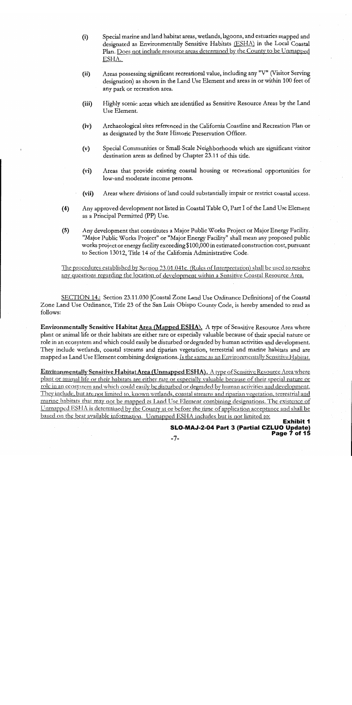- Special marine and land habitat areas, wetlands, lagoons, and estuaries mapped and  $(i)$ designated as Environmentally Sensitive Habitats (ESHA) in the Local Coastal Plan. Does not include resource areas determined by the County to be Unmapped ESHA.
- Areas possessing significant recreational value, including any "V" (Visitor Serving  $(ii)$ designation) as shown in the Land Use Element and areas in or within 100 feet of any park or recreation area.
- Highly scenic areas which are identified as Sensitive Resource Areas by the Land  $(iii)$ Use Element.
- Archaeological sites referenced in the California Coastline and Recreation Plan or  $(iv)$ as designated by the State Historic Preservation Officer.
- Special Communities or Small-Scale Neighborhoods which are significant visitor  $(v)$ destination areas as defined by Chapter 23.11 of this title.
- $(vi)$ Areas that provide existing coastal housing or recreational opportunities for low-and moderate income persons.
- Areas where divisions of land could substantially impair or restrict coastal access.  $(vii)$
- Any approved development not listed in Coastal Table O, Part I of the Land Use Element  $(4)$ as a Principal Permitted (PP) Use.
- Any development that constitutes a Major Public Works Project or Major Energy Facility.  $(5)$ "Major Public Works Project" or "Major Energy Facility" shall mean any proposed public works project or energy facility exceeding \$100,000 in estimated construction cost, pursuant to Section 13012, Title 14 of the California Administrative Code.

The procedures established by Section 23.01.041c. (Rules of Interpretation) shall be used to resolve any questions regarding the location of development within a Sensitive Coastal Resource Area.

SECTION 14.: Section 23.11.030 [Coastal Zone Land Use Ordinance Definitions] of the Coastal Zone Land Use Ordinance, Title 23 of the San Luis Obispo County Code, is hereby amended to read as follows:

Environmentally Sensitive Habitat Area (Mapped ESHA). A type of Sensitive Resource Area where plant or animal life or their habitats are either rare or especially valuable because of their special nature or role in an ecosystem and which could easily be disturbed or degraded by human activities and development. They include wetlands, coastal streams and riparian vegetation, terrestrial and marine habitats and are mapped as Land Use Element combining designations. Is the same as an Environmentally Sensitive Habitat.

Environmentally Sensitive Habitat Area (Unmapped ESHA). A type of Scnsitive Resource Area where plant or animal life or their habitats are either rare or especially valuable because of their special nature or role in an ecosystem and which could easily be disturbed or degraded by human activities and development. They include, but are not limited to, known wetlands, coastal streams and riparian vegetation, terrestrial and marine habitats that may not be mapped as Land Use Element combining designations. The existence of Unmapped ESHA is determined by the County at or before the time of application acceptance and shall be based on the best available information. Unmapped ESHA includes but is not limited to: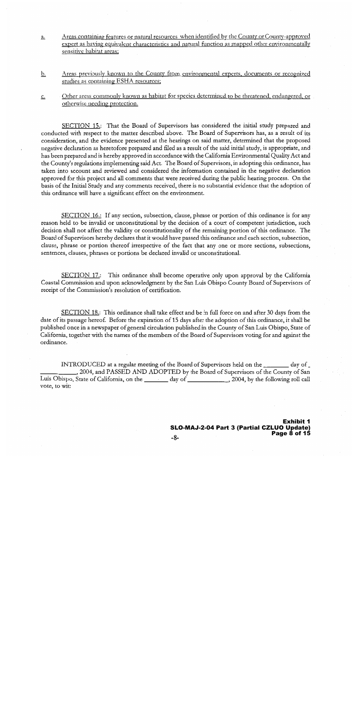- Areas containing features or natural resources when identified by the County or County-approved  $\underline{a}$ . expert as having equivalent characteristics and natural function as mapped other environmentally sensitive habitat areas;
- Areas previously known to the County from environmental experts, documents or recognized b. studies as containing ESHA resources;
- Other areas commonly known as habitat for species determined to be threatened, endangered, or <u>c.</u> otherwise needing protection.

SECTION 15.: That the Board of Supervisors has considered the initial study prepared and conducted with respect to the matter described above. The Board of Supervisors has, as a result of its consideration, and the evidence presented at the hearings on said matter, determined that the proposed negative declaration as heretofore prepared and filed as a result of the said initial study, is appropriate, and has been prepared and is hereby approved in accordance with the California Environmental Quality Act and the County's regulations implementing said Act. The Board of Supervisors, in adopting this ordinance, has taken into account and reviewed and considered the information contained in the negative declaration approved for this project and all comments that were received during the public hearing process. On the basis of the Initial Study and any comments received, there is no substantial evidence that the adoption of this ordinance will have a significant effect on the environment.

SECTION 16.: If any section, subsection, clause, phrase or portion of this ordinance is for any reason held to be invalid or unconstitutional by the decision of a court of competent jurisdiction, such decision shall not affect the validity or constitutionality of the remaining portion of this ordinance. The Board of Supervisors hereby declares that it would have passed this ordinance and each section, subsection, clause, phrase or portion thereof irrespective of the fact that any one or more sections, subsections, sentences, clauses, phrases or portions be declared invalid or unconstitutional.

SECTION 17.: This ordinance shall become operative only upon approval by the California Coastal Commission and upon acknowledgment by the San Luis Obispo County Board of Supervisors of receipt of the Commission's resolution of certification.

SECTION 18.: This ordinance shall take effect and be in full force on and after 30 days from the date of its passage hereof. Before the expiration of 15 days after the adoption of this ordinance, it shall be published once in a newspaper of general circulation published in the County of San Luis Obispo, State of California, together with the names of the members of the Board of Supervisors voting for and against the ordinance.

INTRODUCED at a regular meeting of the Board of Supervisors held on the \_\_\_\_\_\_\_\_ day of , 2004, and PASSED AND ADOPTED by the Board of Supervisors of the County of San Luis Obispo, State of California, on the \_\_\_\_\_\_\_ day of \_\_\_\_\_\_\_\_\_\_\_\_, 2004, by the following roll call vote, to wit: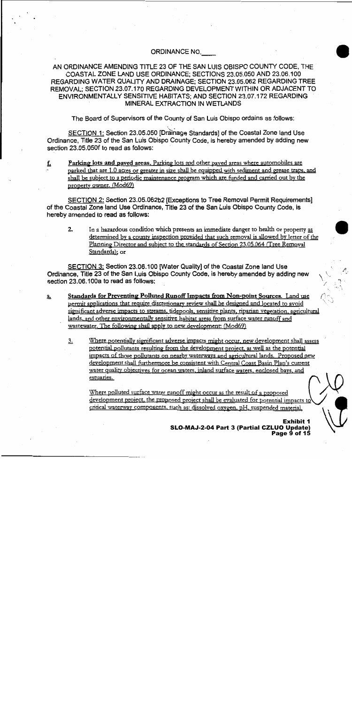### ORDINANCE NO.

### AN ORDINANCE AMENDING TITLE 23 OF THE SAN LUIS OBISPO COUNTY CODE, THE COASTAL ZONE LAND USE ORDINANCE: SECTIONS 23.05.050 AND 23.06.100 REGARDING WATER QUALITY AND DRAINAGE; SECTION 23.05.062 REGARDING TREE REMOVAL; SECTION 23.07.170 REGARDING DEVELOPMENT WITHIN OR ADJACENT TO ENVIRONMENTALLY SENSITIVE HABITATS: AND SECTION 23.07.172 REGARDING MINERAL EXTRACTION IN WETLANDS

The Board of Supervisors of the County of San Luis Obispo ordains as follows:

SECTION 1: Section 23.05.050 [Drainage Standards] of the Coastal Zone land Use Ordinance. Title 23 of the San Luis Obispo County Code, is hereby amended by adding new section 23,05,050f to read as follows:

Parking lots and paved areas. Parking lots and other paved areas where automobiles are <u>f.</u> parked that are 1.0 acres or greater in size shall be equipped with sediment and grease traps, and shall be subject to a periodic maintenance program which are funded and carried out by the property owner. (Mod69)

SECTION 2: Section 23.05.062b2 [Exceptions to Tree Removal Permit Requirements] of the Coastal Zone land Use Ordinance, Title 23 of the San Luis Obispo County Code, is hereby amended to read as follows:

 $2.$ In a hazardous condition which presents an immediate danger to health or property as determined by a county inspection provided that such removal is allowed by letter of the Planning Director and subject to the standards of Section 23.05.064 (Tree Removal Standards); or

SECTION 3: Section 23.06.100 [Water Quality] of the Coastal Zone land Use Ordinance, Title 23 of the San Luis Obispo County Code, is hereby amended by adding new section 23.06.100a to read as follows:

- Standards for Preventing Polluted Runoff Impacts from Non-point Sources. Land use  $\underline{\mathbf{a}}$ . permit applications that require discretionary review shall be designed and located to avoid significant adverse impacts to streams, tidepools, sensitive plants, riparian vegetation, agricultural lands, and other environmentally sensitive habitat areas from surface water runoff and wastewater. The following shall apply to new development: (Mod69)
	- Where potentially significant adverse impacts might occur, new development shall assess 3. potential pollutants resulting from the development project, as well as the potential impacts of those pollutants on nearby waterways and agricultural lands. Proposed new development shall furthermore be consistent with Central Coast Basin Plan's current water quality objectives for ocean waters, inland surface waters, enclosed bays, and estuaries.

Where polluted surface water runoff might occur as the result of a proposed development project, the proposed project shall be evaluated for potential impacts to critical waterway components, such as: dissolved oxygen, pH, suspended material,

> **Fyhihit 1** SLO-MAJ-2-04 Part 3 (Partial CZLUO Update) Page 9 of 15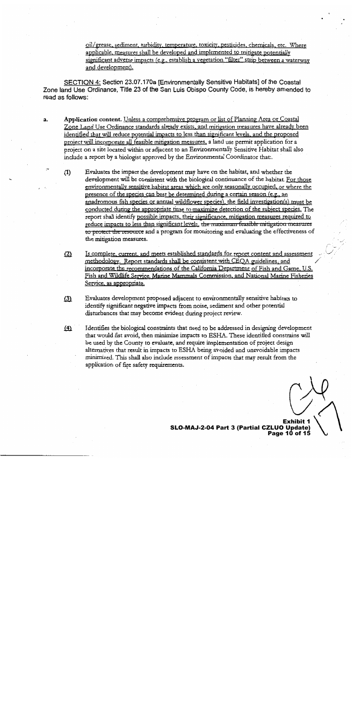oil/grease, sediment, turbidity, temperature, toxicity, pesticides, chemicals, etc. Where applicable, measures shall be developed and implemented to mitigate potentially significant adverse impacts (e.g., establish a vegetation "filter" strip between a waterway and development).

SECTION 4: Section 23.07.170a [Environmentally Sensitive Habitats] of the Coastal Zone land Use Ordinance, Title 23 of the San Luis Obispo County Code, is hereby amended to read as follows:

- Application content. Unless a comprehensive program or list of Planning Area or Coastal a. Zone Land Use Ordinance standards already exists, and mitigation measures have already been identified that will reduce potential impacts to less than significant levels, and the proposed project will incorporate all feasible mitigation measures, a land use permit application for a project on a site located within or adjacent to an Environmentally Sensitive Habitat shall also include a report by a biologist approved by the Environmental Coordinator that:.
	- Evaluates the impact the development may have on the habitat, and whether the  $(1)$ development will be consistent with the biological continuance of the habitat. For those environmentally sensitive habitat areas which are only seasonally occupied, or where the presence of the species can best be determined during a certain season (e.g., an anadromous fish species or annual wildflower species), the field investigation(s) must be conducted during the appropriate time to maximize detection of the subject species. The report shall identify possible impacts, their significance, mitigation measures required to reduce impacts to less than significant levels, the maximum feasible mitigation measures to protect the resource and a program for monitoring and evaluating the effectiveness of the mitigation measures.
	- Is complete, current, and meets established standards for report content and assessment  $(2)$ methodology. Report standards shall be consistent with CEOA guidelines, and incorporate the recommendations of the California Department of Fish and Game, U.S. Fish and Wildlife Service, Marine Mammals Commission, and National Marine Fisheries Service, as appropriate.
	- $(3)$ Evaluates development proposed adjacent to environmentally sensitive habitats to identify significant negative impacts from noise, sediment and other potential disturbances that may become evident during project review.
	- Identifies the biological constraints that need to be addressed in designing development  $(4)$ that would fist avoid, then minimize impacts to ESHA. These identified constrains will be used by the County to evaluate, and require implementation of project design alternatives that result in impacts to ESHA being avoided and unavoidable impacts minimized. This shall also include assessment of impacts that may result from the application of fire safety requirements.

SLO-MAJ-2-04 Part 3 (Partial CZLUO Update) Page 10 of 15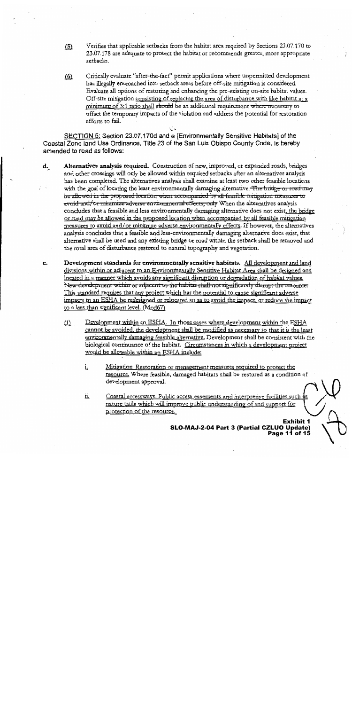- Verifies that applicable setbacks from the habitat area required by Sections 23.07.170 to  $(5)$ 23.07.178 are adequate to protect the habitat or recommends greater, more appropriate setbacks.
- Critically evaluate "after-the-fact" permit applications where unpermitted development <u>(6)</u> has illegally encroached into setback areas before off-site mitigation is considered. Evaluate all options of restoring and enhancing the pre-existing on-site habitat values. Off-site mitigation consisting of replacing the area of disturbance with like habitat at a minimum of 3:1 ratio shall should be an additional requirement where necessary to offset the temporary impacts of the violation and address the potential for restoration efforts to fail.

SECTION 5: Section 23.07.170d and e [Environmentally Sensitive Habitats] of the Coastal Zone land Use Ordinance, Title 23 of the San Luis Obispo County Code, is hereby amended to read as follows:

- d. Alternatives analysis required. Construction of new, improved, or expanded roads, bridges and other crossings will only be allowed within required setbacks after an alternatives analysis has been completed. The alternatives analysis shall examine at least two other feasible locations with the goal of locating the least environmentally damaging alternative. The bridge or road may be allowed in the proposed location when accompanied by all feasible mitigation measures to avoid and/or minimize adverse environmental effects, only When the alternatives analysis concludes that a feasible and less environmentally damaging alternative does not exist, the bridge or road may be allowed in the proposed location when accompanied by all feasible mitigation measures to avoid and/or minimize adverse environmentally effects. If however, the alternatives analysis concludes that a feasible and less-environmentally damaging alternative does exist, that alternative shall be used and any existing bridge or road within the setback shall be removed and the total area of disturbance restored to natural topography and vegetation.
- Development standards for environmentally sensitive habitats. All development and land e. divisions within or adjacent to an Environmentally Sensitive Habitat Area shall be designed and located in a manner which avoids any significant disruption or degradation of habitat values. New development within or adjacent to the habitat shall not significantly disrupt the resource: This standard requires that any project which has the potential to cause significant adverse impacts to an ESHA be redesigned or relocated so as to avoid the impact, or reduce the impact to a less than significant level. (Mod67)
	- Development within an ESHA. In those cases where development within the ESHA  $(1)$ cannot be avoided, the development shall be modified as necessary so that it is the least environmentally damaging feasible alternative. Development shall be consistent with the biological continuance of the habitat. Circumstances in which a development project would be allowable within an ESHA include:
		- i, Mitigation. Restoration or management measures required to protect the resource. Where feasible, damaged habitats shall be restored as a condition of development approval.
		- Coastal accessways. Public access easements and interpretive facilities such <u>іі.</u> nature trails which will improve public understanding of and support for protection of the resource.

SLO-MAJ-2-04 Part 3 (Partial CZLUO Update) Page 11 of 15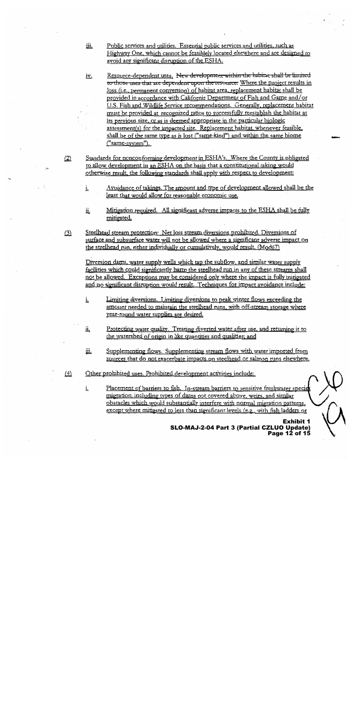- Public services and utilities. Essential public services and utilities, such as üі. Highway One, which cannot be feasiblely located elsewhere and are designed to avoid any significant disruption of the ESHA.
- Resource-dependent uses. New development within the habitat shall be limited iv. to those uses that are dependent upon the resource. Where the project results in loss (i.e., permanent conversion) of habitat area, replacement habitat shall be provided in accordance with California Department of Fish and Game and/or U.S. Fish and Wildlife Service recommendations. Generally, replacement habitat must be provided at recognized ratios to successfully reestablish the habitat at its previous size, or as is deemed appropriate in the particular biologic assessment(s) for the impacted site. Replacement habitat, whenever feasible. shall be of the same type as is lost ("same-kind") and within the same biome  $("same-system").$
- Standards for nonconforming development in ESHA's, Where the County is obligated  $(2)$ to allow development in an ESHA on the basis that a constitutional taking would otherwise result, the following standards shall apply with respect to development:
	- Avoidance of takings. The amount and type of development allowed shall be the <u>i.</u> least that would allow for reasonable economic use.
	- Mitigation required. All significant adverse impacts to the ESHA shall be fully ü. mitigated.
- Steelhead stream protection: Net loss stream diversions prohibited. Diversions of  $(3)$ surface and subsurface water will not be allowed where a significant adverse impact on the steelhead run, either individually or cumulatively, would result. (Mod67)

Diversion dams, water supply wells which tap the subflow, and similar water supply facilities which could significantly harm the steelhead run in any of these streams shall not be allowed. Exceptions may be considered only where the impact is fully mitigated and no significant disruption would result. Techniques for impact avoidance include:

- Limiting diversions. Limiting diversions to peak winter flows exceeding the i. amount needed to maintain the steelhead runs, with off-stream storage where year-round water supplies are desired.
- Protecting water quality. Treating diverted water after use, and returning it to <u>іі.</u> the watershed of origin in like quantities and qualities; and
- Supplementing flows. Supplementing stream flows with water imported from <u>ій.</u> sources that do not exacerbate impacts on steelhead or salmon runs elsewhere.
- Other prohibited uses. Prohibited development activities include:  $(4)$

Placement of barriers to fish. In-stream barriers to sensitive freshwater species i, migration, including types of dams not covered above, weirs, and similar obstacles which would substantially interfere with normal migration patterns, except where mitigated to less than significant levels (e.g., with fish ladders or

> SLO-MAJ-2-04 Part 3 (Partial CZLUO Update) Page 12 of 15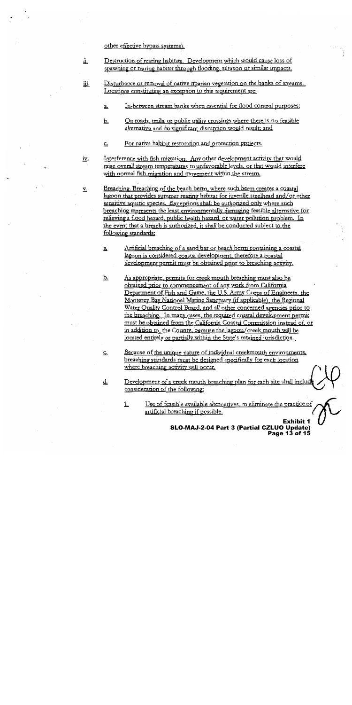other effective bypass systems).

<u>د،</u>

- Destruction of rearing habitats. Development which would cause loss of ü. spawning or rearing habitat through flooding, siltation or similar impacts.
- Disturbance or removal of native riparian vegetation on the banks of streams. iii. Locations constituting an exception to this requirement are:
	- In-between stream banks when essential for flood control purposes;  $\underline{\mathbf{a}}$ .
	- On roads, trails, or public utility crossings where there is no feasible <u>b.</u> alternative and no significant disruption would result, and
	- For native habitat restoration and protection projects.  $\underline{\mathsf{c}}$ .

Interference with fish migration. Any other development activity that would <u>iv.</u> raise overall stream temperatures to unfavorable levels, or that would interfere with normal fish migration and movement within the stream.

- Breaching. Breaching of the beach berm, where such berm creates a coastal  $\underline{\mathbf{v}}$ . lagoon that provides summer rearing habitat for juvenile steelhead and/or other sensitive aquatic species. Exceptions shall be authorized only where such breaching represents the least environmentally damaging feasible alternative for relieving a flood hazard, public health hazard, or water pollution problem. In the event that a breach is authorized, it shall be conducted subject to the following standards:
	- Artificial breaching of a sand bar or beach berm containing a coastal <u>a.</u> lagoon is considered coastal development, therefore a coastal development permit must be obtained prior to breaching activity.
	- <u>b.</u> As appropriate, permits for creek mouth breaching must also be obtained prior to commencement of any work from California Department of Fish and Game, the U.S. Army Corps of Engineers, the Monterey Bay National Marine Sanctuary (if applicable), the Regional Water Quality Control Board, and all other concerned agencies prior to the breaching. In many cases, the required coastal development permit must be obtained from the California Coastal Commission instead of, or in addition to, the County, because the lagoon/creek mouth will be located entirely or partially within the State's retained jurisdiction.
		- Because of the unique nature of individual creekmouth environments, breaching standards must be designed specifically for each location where breaching activity will occur.
	- Development of a creek mouth breaching plan for each site shall includ ₫. consideration of the following:
		- Use of feasible available alternatives, to eliminate the practice of  $1.$ artificial breaching if possible.

**Exhibit 1** SLO-MAJ-2-04 Part 3 (Partial CZLUO Update) Page 13 of 15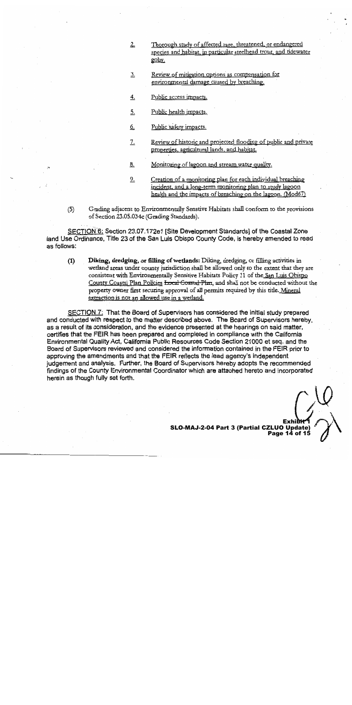- Thorough study of affected rare, threatened, or endangered  $2$ species and habitat, in particular steelhead trout, and tidewater goby.
- Review of mitigation options as compensation for 3. environmental damage caused by breaching.
- Public access impacts.  $4.$
- Public health impacts. 5.
- Public safety impacts. <u>G.</u>
- $\frac{7}{4}$ Review of historic and projected flooding of public and private properties, agricultural lands, and habitat.
- $8.$ Monitoring of lagoon and stream water quality.
- Creation of a monitoring plan for each individual breaching  $9.$ incident, and a long-term monitoring plan to study lagoon health and the impacts of breaching on the lagoon. (Mod67)
- Grading adjacent to Environmentally Senstive Habitats shall conform to the provisions  $(5)$ of Section 23.05.034c (Grading Standards).

SECTION 6: Section 23.07.172e1 [Site Development Standards] of the Coastal Zone land Use Ordinance, Title 23 of the San Luis Obispo County Code, is hereby amended to read as follows:

Diking, dredging, or filling of wetlands: Diking, dredging, or filling activities in  $(1)$ wetland areas under county jurisdiction shall be allowed only to the extent that they are consistent with Environmentally Sensitive Habitats Policy 11 of the San Luis Obispo County Coastal Plan Policies <del>Local Coastal Plan</del>, and shall not be conducted without the property owner first securing approval of all permits required by this title. Mineral extraction is not an allowed use in a wetland.

SECTION 7: That the Board of Supervisors has considered the initial study prepared and conducted with respect to the matter described above. The Board of Supervisors hereby, as a result of its consideration, and the evidence presented at the hearings on said matter, certifies that the FEIR has been prepared and completed in compliance with the California Environmental Quality Act, California Public Resources Code Section 21000 et seq. and the Board of Supervisors reviewed and considered the information contained in the FEIR prior to approving the amendments and that the FEIR reflects the lead agency's independent judgement and analysis. Further, the Board of Supervisors hereby adopts the recommended findings of the County Environmental Coordinator which are attached hereto and incorporated herein as though fully set forth.

SLO-MAJ-2-04 Part 3 (Partial CZLUO Update) Page 14 of 15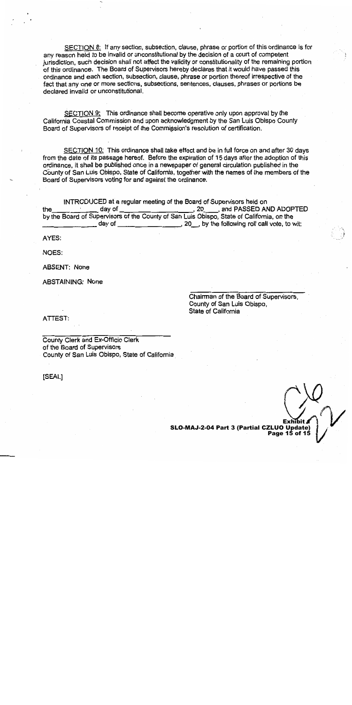SECTION 8: If any section, subsection, clause, phrase or portion of this ordinance is for any reason held to be invalid or unconstitutional by the decision of a court of competent jurisdiction, such decision shall not affect the validity or constitutionality of the remaining portion of this ordinance. The Board of Supervisors hereby declares that it would have passed this ordinance and each section, subsection, clause, phrase or portion thereof irrespective of the fact that any one or more sections, subsections, sentences, clauses, phrases or portions be declared invalid or unconstitutional.

SECTION 9: This ordinance shall become operative only upon approval by the California Coastal Commission and upon acknowledgment by the San Luis Obispo County Board of Supervisors of receipt of the Commission's resolution of certification.

SECTION 10: This ordinance shall take effect and be in full force on and after 30 days from the date of its passage hereof. Before the expiration of 15 days after the adoption of this ordinance, it shall be published once in a newspaper of general circulation published in the County of San Luis Obispo, State of California, together with the names of the members of the Board of Supervisors voting for and against the ordinance.

INTRODUCED at a regular meeting of the Board of Supervisors held on , 20 \_\_\_\_, and PASSED AND ADOPTED 20, by the following roll call vote, to wit: day of the control of the control of the control of the control of the control of the control of the control o

AYES:

NOES:

**ABSENT: None** 

**ABSTAINING: None** 

Chairman of the Board of Supervisors. County of San Luis Obispo, State of California

ATTEST:

County Clerk and Ex-Officio Clerk of the Board of Supervisors County of San Luis Obispo, State of California

[SEAL]

SLO-MAJ-2-04 Part 3 (Partial CZLUO Update) Page 15 of 15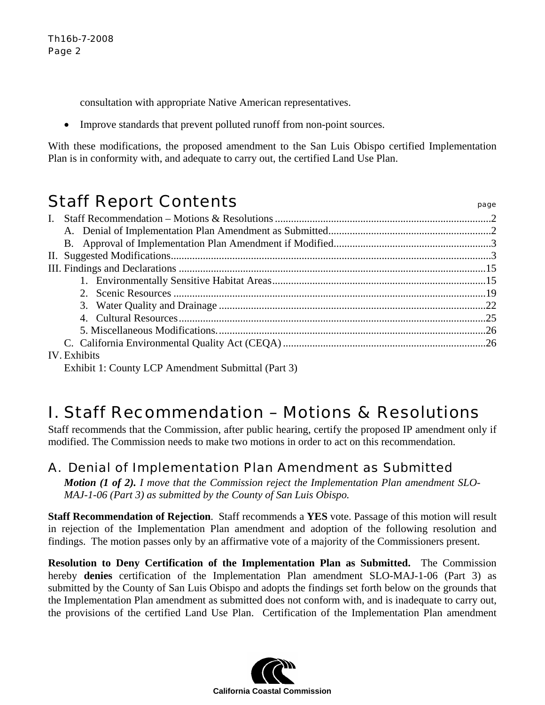consultation with appropriate Native American representatives.

• Improve standards that prevent polluted runoff from non-point sources.

With these modifications, the proposed amendment to the San Luis Obispo certified Implementation Plan is in conformity with, and adequate to carry out, the certified Land Use Plan.

# Staff Report Contents **Staff Report Contents**

| <b>IV</b> Exhibits |  |
|--------------------|--|

### IV. Exhibits

Exhibit 1: County LCP Amendment Submittal (Part 3)

# I. Staff Recommendation – Motions & Resolutions

Staff recommends that the Commission, after public hearing, certify the proposed IP amendment only if modified. The Commission needs to make two motions in order to act on this recommendation.

# A. Denial of Implementation Plan Amendment as Submitted

*Motion (1 of 2). I move that the Commission reject the Implementation Plan amendment SLO-MAJ-1-06 (Part 3) as submitted by the County of San Luis Obispo.* 

**Staff Recommendation of Rejection**. Staff recommends a **YES** vote. Passage of this motion will result in rejection of the Implementation Plan amendment and adoption of the following resolution and findings. The motion passes only by an affirmative vote of a majority of the Commissioners present.

**Resolution to Deny Certification of the Implementation Plan as Submitted.** The Commission hereby **denies** certification of the Implementation Plan amendment SLO-MAJ-1-06 (Part 3) as submitted by the County of San Luis Obispo and adopts the findings set forth below on the grounds that the Implementation Plan amendment as submitted does not conform with, and is inadequate to carry out, the provisions of the certified Land Use Plan. Certification of the Implementation Plan amendment

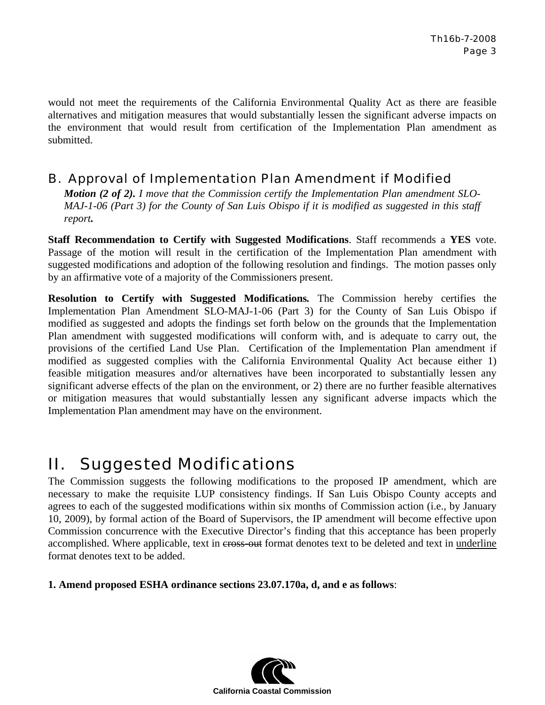would not meet the requirements of the California Environmental Quality Act as there are feasible alternatives and mitigation measures that would substantially lessen the significant adverse impacts on the environment that would result from certification of the Implementation Plan amendment as submitted.

## B. Approval of Implementation Plan Amendment if Modified

*Motion (2 of 2). I move that the Commission certify the Implementation Plan amendment SLO-MAJ-1-06 (Part 3) for the County of San Luis Obispo if it is modified as suggested in this staff report.*

**Staff Recommendation to Certify with Suggested Modifications**. Staff recommends a **YES** vote. Passage of the motion will result in the certification of the Implementation Plan amendment with suggested modifications and adoption of the following resolution and findings. The motion passes only by an affirmative vote of a majority of the Commissioners present.

**Resolution to Certify with Suggested Modifications***.* The Commission hereby certifies the Implementation Plan Amendment SLO-MAJ-1-06 (Part 3) for the County of San Luis Obispo if modified as suggested and adopts the findings set forth below on the grounds that the Implementation Plan amendment with suggested modifications will conform with, and is adequate to carry out, the provisions of the certified Land Use Plan. Certification of the Implementation Plan amendment if modified as suggested complies with the California Environmental Quality Act because either 1) feasible mitigation measures and/or alternatives have been incorporated to substantially lessen any significant adverse effects of the plan on the environment, or 2) there are no further feasible alternatives or mitigation measures that would substantially lessen any significant adverse impacts which the Implementation Plan amendment may have on the environment.

# II. Suggested Modifications

The Commission suggests the following modifications to the proposed IP amendment, which are necessary to make the requisite LUP consistency findings. If San Luis Obispo County accepts and agrees to each of the suggested modifications within six months of Commission action (i.e., by January 10, 2009), by formal action of the Board of Supervisors, the IP amendment will become effective upon Commission concurrence with the Executive Director's finding that this acceptance has been properly accomplished. Where applicable, text in cross-out format denotes text to be deleted and text in underline format denotes text to be added.

**1. Amend proposed ESHA ordinance sections 23.07.170a, d, and e as follows**:

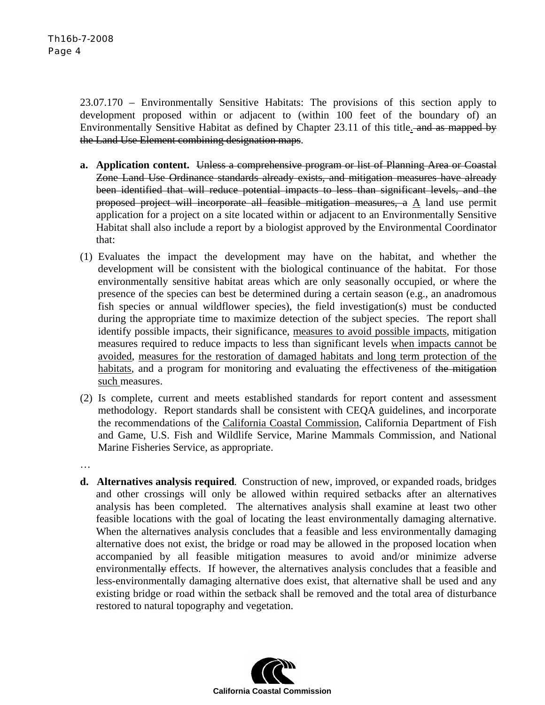…

23.07.170 – Environmentally Sensitive Habitats: The provisions of this section apply to development proposed within or adjacent to (within 100 feet of the boundary of) an Environmentally Sensitive Habitat as defined by Chapter 23.11 of this title. and as mapped by the Land Use Element combining designation maps.

- **a. Application content.** Unless a comprehensive program or list of Planning Area or Coastal Zone Land Use Ordinance standards already exists, and mitigation measures have already been identified that will reduce potential impacts to less than significant levels, and the proposed project will incorporate all feasible mitigation measures, a A land use permit application for a project on a site located within or adjacent to an Environmentally Sensitive Habitat shall also include a report by a biologist approved by the Environmental Coordinator that:
- (1) Evaluates the impact the development may have on the habitat, and whether the development will be consistent with the biological continuance of the habitat. For those environmentally sensitive habitat areas which are only seasonally occupied, or where the presence of the species can best be determined during a certain season (e.g., an anadromous fish species or annual wildflower species), the field investigation(s) must be conducted during the appropriate time to maximize detection of the subject species. The report shall identify possible impacts, their significance, measures to avoid possible impacts, mitigation measures required to reduce impacts to less than significant levels when impacts cannot be avoided, measures for the restoration of damaged habitats and long term protection of the habitats, and a program for monitoring and evaluating the effectiveness of the mitigation such measures.
- (2) Is complete, current and meets established standards for report content and assessment methodology. Report standards shall be consistent with CEQA guidelines, and incorporate the recommendations of the California Coastal Commission, California Department of Fish and Game, U.S. Fish and Wildlife Service, Marine Mammals Commission, and National Marine Fisheries Service, as appropriate.
- **d. Alternatives analysis required**. Construction of new, improved, or expanded roads, bridges and other crossings will only be allowed within required setbacks after an alternatives analysis has been completed. The alternatives analysis shall examine at least two other feasible locations with the goal of locating the least environmentally damaging alternative. When the alternatives analysis concludes that a feasible and less environmentally damaging alternative does not exist, the bridge or road may be allowed in the proposed location when accompanied by all feasible mitigation measures to avoid and/or minimize adverse environmentally effects. If however, the alternatives analysis concludes that a feasible and less-environmentally damaging alternative does exist, that alternative shall be used and any existing bridge or road within the setback shall be removed and the total area of disturbance restored to natural topography and vegetation.

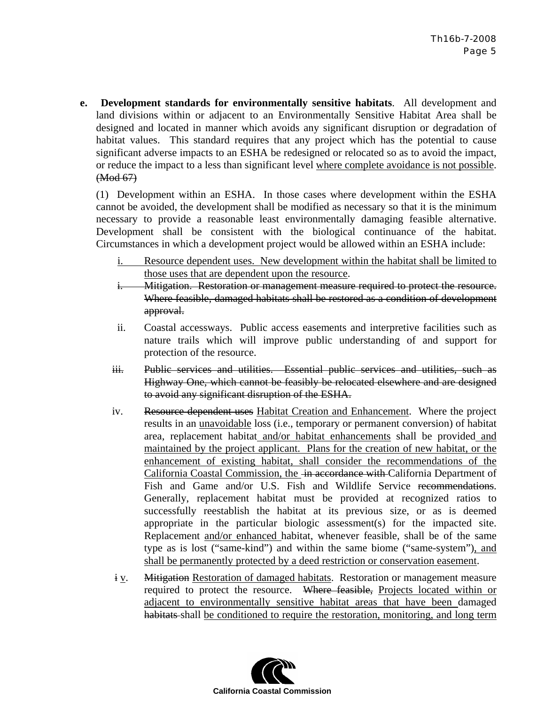**e. Development standards for environmentally sensitive habitats**. All development and land divisions within or adjacent to an Environmentally Sensitive Habitat Area shall be designed and located in manner which avoids any significant disruption or degradation of habitat values. This standard requires that any project which has the potential to cause significant adverse impacts to an ESHA be redesigned or relocated so as to avoid the impact, or reduce the impact to a less than significant level where complete avoidance is not possible. (Mod 67)

(1) Development within an ESHA. In those cases where development within the ESHA cannot be avoided, the development shall be modified as necessary so that it is the minimum necessary to provide a reasonable least environmentally damaging feasible alternative. Development shall be consistent with the biological continuance of the habitat. Circumstances in which a development project would be allowed within an ESHA include:

- i. Resource dependent uses. New development within the habitat shall be limited to those uses that are dependent upon the resource.
- i. Mitigation. Restoration or management measure required to protect the resource. Where feasible, damaged habitats shall be restored as a condition of development approval.
- ii. Coastal accessways. Public access easements and interpretive facilities such as nature trails which will improve public understanding of and support for protection of the resource.
- iii. Public services and utilities. Essential public services and utilities, such as Highway One, which cannot be feasibly be relocated elsewhere and are designed to avoid any significant disruption of the ESHA.
- iv. Resource dependent uses Habitat Creation and Enhancement. Where the project results in an unavoidable loss (i.e., temporary or permanent conversion) of habitat area, replacement habitat and/or habitat enhancements shall be provided and maintained by the project applicant. Plans for the creation of new habitat, or the enhancement of existing habitat, shall consider the recommendations of the California Coastal Commission, the in accordance with California Department of Fish and Game and/or U.S. Fish and Wildlife Service recommendations. Generally, replacement habitat must be provided at recognized ratios to successfully reestablish the habitat at its previous size, or as is deemed appropriate in the particular biologic assessment(s) for the impacted site. Replacement and/or enhanced habitat, whenever feasible, shall be of the same type as is lost ("same-kind") and within the same biome ("same-system"), and shall be permanently protected by a deed restriction or conservation easement.
- i v. Mitigation Restoration of damaged habitats. Restoration or management measure required to protect the resource. Where feasible, Projects located within or adjacent to environmentally sensitive habitat areas that have been damaged habitats shall be conditioned to require the restoration, monitoring, and long term

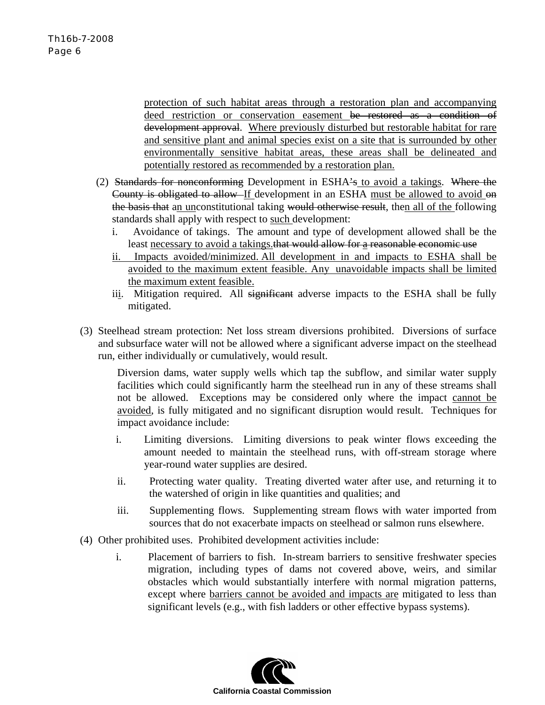protection of such habitat areas through a restoration plan and accompanying deed restriction or conservation easement be restored as a condition of development approval. Where previously disturbed but restorable habitat for rare and sensitive plant and animal species exist on a site that is surrounded by other environmentally sensitive habitat areas, these areas shall be delineated and potentially restored as recommended by a restoration plan.

- (2) Standards for nonconforming Development in ESHA's to avoid a takings. Where the County is obligated to allow If development in an ESHA must be allowed to avoid on the basis that an unconstitutional taking would otherwise result, then all of the following standards shall apply with respect to such development:
	- i. Avoidance of takings. The amount and type of development allowed shall be the least necessary to avoid a takings.that would allow for a reasonable economic use
	- ii. Impacts avoided/minimized. All development in and impacts to ESHA shall be avoided to the maximum extent feasible. Any unavoidable impacts shall be limited the maximum extent feasible.
	- iii. Mitigation required. All significant adverse impacts to the ESHA shall be fully mitigated.
- (3) Steelhead stream protection: Net loss stream diversions prohibited. Diversions of surface and subsurface water will not be allowed where a significant adverse impact on the steelhead run, either individually or cumulatively, would result.

Diversion dams, water supply wells which tap the subflow, and similar water supply facilities which could significantly harm the steelhead run in any of these streams shall not be allowed. Exceptions may be considered only where the impact cannot be avoided, is fully mitigated and no significant disruption would result. Techniques for impact avoidance include:

- i. Limiting diversions. Limiting diversions to peak winter flows exceeding the amount needed to maintain the steelhead runs, with off-stream storage where year-round water supplies are desired.
- ii. Protecting water quality. Treating diverted water after use, and returning it to the watershed of origin in like quantities and qualities; and
- iii. Supplementing flows. Supplementing stream flows with water imported from sources that do not exacerbate impacts on steelhead or salmon runs elsewhere.
- (4) Other prohibited uses. Prohibited development activities include:
	- i. Placement of barriers to fish. In-stream barriers to sensitive freshwater species migration, including types of dams not covered above, weirs, and similar obstacles which would substantially interfere with normal migration patterns, except where barriers cannot be avoided and impacts are mitigated to less than significant levels (e.g., with fish ladders or other effective bypass systems).

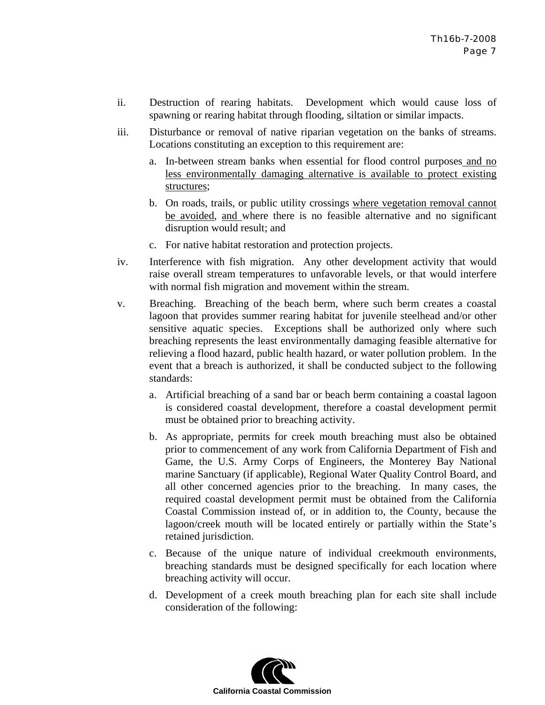- ii. Destruction of rearing habitats. Development which would cause loss of spawning or rearing habitat through flooding, siltation or similar impacts.
- iii. Disturbance or removal of native riparian vegetation on the banks of streams. Locations constituting an exception to this requirement are:
	- a. In-between stream banks when essential for flood control purposes and no less environmentally damaging alternative is available to protect existing structures;
	- b. On roads, trails, or public utility crossings where vegetation removal cannot be avoided, and where there is no feasible alternative and no significant disruption would result; and
	- c. For native habitat restoration and protection projects.
- iv. Interference with fish migration. Any other development activity that would raise overall stream temperatures to unfavorable levels, or that would interfere with normal fish migration and movement within the stream.
- v. Breaching. Breaching of the beach berm, where such berm creates a coastal lagoon that provides summer rearing habitat for juvenile steelhead and/or other sensitive aquatic species. Exceptions shall be authorized only where such breaching represents the least environmentally damaging feasible alternative for relieving a flood hazard, public health hazard, or water pollution problem. In the event that a breach is authorized, it shall be conducted subject to the following standards:
	- a. Artificial breaching of a sand bar or beach berm containing a coastal lagoon is considered coastal development, therefore a coastal development permit must be obtained prior to breaching activity.
	- b. As appropriate, permits for creek mouth breaching must also be obtained prior to commencement of any work from California Department of Fish and Game, the U.S. Army Corps of Engineers, the Monterey Bay National marine Sanctuary (if applicable), Regional Water Quality Control Board, and all other concerned agencies prior to the breaching. In many cases, the required coastal development permit must be obtained from the California Coastal Commission instead of, or in addition to, the County, because the lagoon/creek mouth will be located entirely or partially within the State's retained jurisdiction.
	- c. Because of the unique nature of individual creekmouth environments, breaching standards must be designed specifically for each location where breaching activity will occur.
	- d. Development of a creek mouth breaching plan for each site shall include consideration of the following:

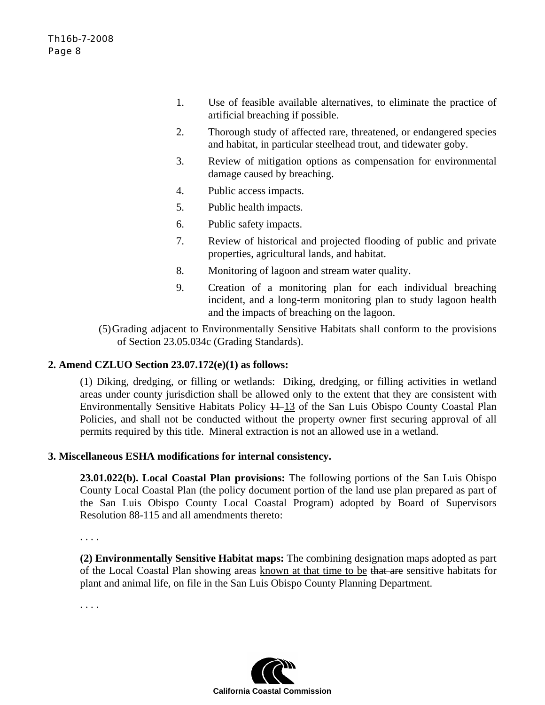- 1. Use of feasible available alternatives, to eliminate the practice of artificial breaching if possible.
- 2. Thorough study of affected rare, threatened, or endangered species and habitat, in particular steelhead trout, and tidewater goby.
- 3. Review of mitigation options as compensation for environmental damage caused by breaching.
- 4. Public access impacts.
- 5. Public health impacts.
- 6. Public safety impacts.
- 7. Review of historical and projected flooding of public and private properties, agricultural lands, and habitat.
- 8. Monitoring of lagoon and stream water quality.
- 9. Creation of a monitoring plan for each individual breaching incident, and a long-term monitoring plan to study lagoon health and the impacts of breaching on the lagoon.

(5)Grading adjacent to Environmentally Sensitive Habitats shall conform to the provisions of Section 23.05.034c (Grading Standards).

### **2. Amend CZLUO Section 23.07.172(e)(1) as follows:**

(1) Diking, dredging, or filling or wetlands: Diking, dredging, or filling activities in wetland areas under county jurisdiction shall be allowed only to the extent that they are consistent with Environmentally Sensitive Habitats Policy  $+1$ –13 of the San Luis Obispo County Coastal Plan Policies, and shall not be conducted without the property owner first securing approval of all permits required by this title. Mineral extraction is not an allowed use in a wetland.

### **3. Miscellaneous ESHA modifications for internal consistency.**

**23.01.022(b). Local Coastal Plan provisions:** The following portions of the San Luis Obispo County Local Coastal Plan (the policy document portion of the land use plan prepared as part of the San Luis Obispo County Local Coastal Program) adopted by Board of Supervisors Resolution 88-115 and all amendments thereto:

. . . .

**(2) Environmentally Sensitive Habitat maps:** The combining designation maps adopted as part of the Local Coastal Plan showing areas known at that time to be that are sensitive habitats for plant and animal life, on file in the San Luis Obispo County Planning Department.

. . . .

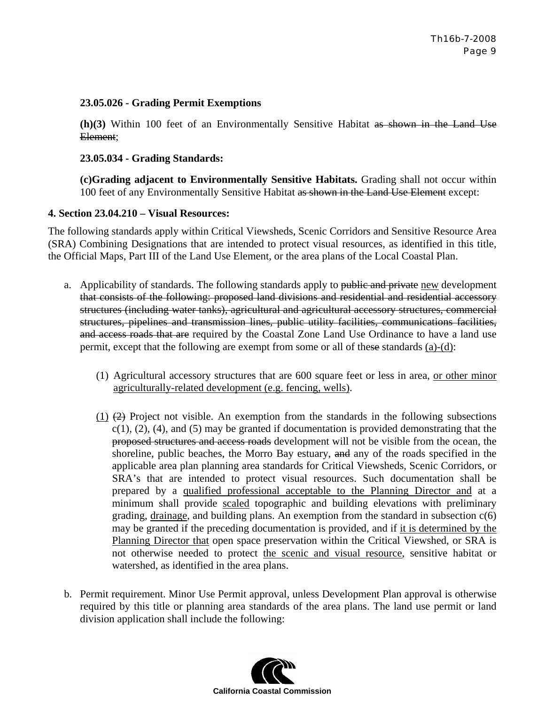### **23.05.026 - Grading Permit Exemptions**

**(h)(3)** Within 100 feet of an Environmentally Sensitive Habitat as shown in the Land Use Element;

### **23.05.034 - Grading Standards:**

**(c)Grading adjacent to Environmentally Sensitive Habitats.** Grading shall not occur within 100 feet of any Environmentally Sensitive Habitat as shown in the Land Use Element except:

### **4. Section 23.04.210 – Visual Resources:**

The following standards apply within Critical Viewsheds, Scenic Corridors and Sensitive Resource Area (SRA) Combining Designations that are intended to protect visual resources, as identified in this title, the Official Maps, Part III of the Land Use Element, or the area plans of the Local Coastal Plan.

- a. Applicability of standards. The following standards apply to public and private new development that consists of the following: proposed land divisions and residential and residential accessory structures (including water tanks), agricultural and agricultural accessory structures, commercial structures, pipelines and transmission lines, public utility facilities, communications facilities, and access roads that are required by the Coastal Zone Land Use Ordinance to have a land use permit, except that the following are exempt from some or all of these standards  $(a)-(d)$ :
	- (1) Agricultural accessory structures that are 600 square feet or less in area, or other minor agriculturally-related development (e.g. fencing, wells).
	- (1)  $(2)$  Project not visible. An exemption from the standards in the following subsections  $c(1)$ ,  $(2)$ ,  $(4)$ , and  $(5)$  may be granted if documentation is provided demonstrating that the proposed structures and access roads development will not be visible from the ocean, the shoreline, public beaches, the Morro Bay estuary, and any of the roads specified in the applicable area plan planning area standards for Critical Viewsheds, Scenic Corridors, or SRA's that are intended to protect visual resources. Such documentation shall be prepared by a qualified professional acceptable to the Planning Director and at a minimum shall provide scaled topographic and building elevations with preliminary grading, drainage, and building plans. An exemption from the standard in subsection  $c(6)$ may be granted if the preceding documentation is provided, and if it is determined by the Planning Director that open space preservation within the Critical Viewshed, or SRA is not otherwise needed to protect the scenic and visual resource, sensitive habitat or watershed, as identified in the area plans.
- b. Permit requirement. Minor Use Permit approval, unless Development Plan approval is otherwise required by this title or planning area standards of the area plans. The land use permit or land division application shall include the following:

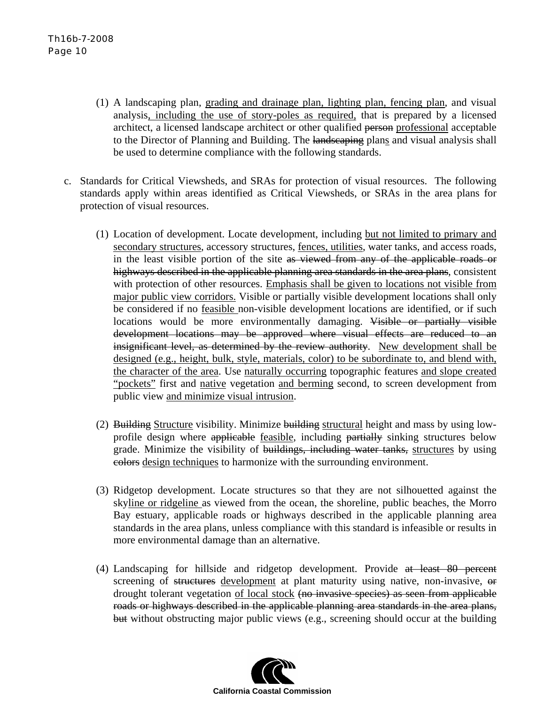- (1) A landscaping plan, grading and drainage plan, lighting plan, fencing plan, and visual analysis, including the use of story-poles as required, that is prepared by a licensed architect, a licensed landscape architect or other qualified person professional acceptable to the Director of Planning and Building. The landscaping plans and visual analysis shall be used to determine compliance with the following standards.
- c. Standards for Critical Viewsheds, and SRAs for protection of visual resources. The following standards apply within areas identified as Critical Viewsheds, or SRAs in the area plans for protection of visual resources.
	- (1) Location of development. Locate development, including but not limited to primary and secondary structures, accessory structures, fences, utilities, water tanks, and access roads, in the least visible portion of the site as viewed from any of the applicable roads or highways described in the applicable planning area standards in the area plans, consistent with protection of other resources. Emphasis shall be given to locations not visible from major public view corridors. Visible or partially visible development locations shall only be considered if no feasible non-visible development locations are identified, or if such locations would be more environmentally damaging. Visible or partially visible development locations may be approved where visual effects are reduced to an insignificant level, as determined by the review authority. New development shall be designed (e.g., height, bulk, style, materials, color) to be subordinate to, and blend with, the character of the area. Use naturally occurring topographic features and slope created "pockets" first and native vegetation and berming second, to screen development from public view and minimize visual intrusion.
	- (2) Building Structure visibility. Minimize building structural height and mass by using lowprofile design where applicable feasible, including partially sinking structures below grade. Minimize the visibility of buildings, including water tanks, structures by using colors design techniques to harmonize with the surrounding environment.
	- (3) Ridgetop development. Locate structures so that they are not silhouetted against the skyline or ridgeline as viewed from the ocean, the shoreline, public beaches, the Morro Bay estuary, applicable roads or highways described in the applicable planning area standards in the area plans, unless compliance with this standard is infeasible or results in more environmental damage than an alternative.
	- (4) Landscaping for hillside and ridgetop development. Provide at least 80 percent screening of structures development at plant maturity using native, non-invasive, or drought tolerant vegetation of local stock (no invasive species) as seen from applicable roads or highways described in the applicable planning area standards in the area plans, but without obstructing major public views (e.g., screening should occur at the building

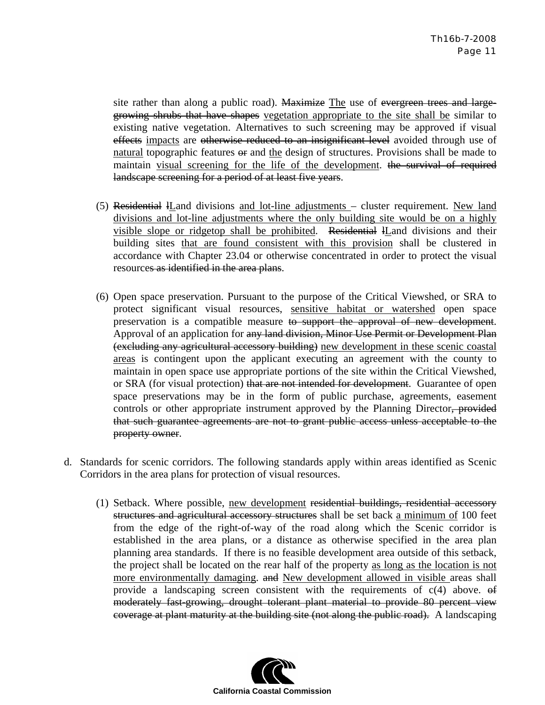site rather than along a public road). Maximize The use of evergreen trees and largegrowing shrubs that have shapes vegetation appropriate to the site shall be similar to existing native vegetation. Alternatives to such screening may be approved if visual effects impacts are otherwise reduced to an insignificant level avoided through use of natural topographic features  $\Theta$  and the design of structures. Provisions shall be made to maintain visual screening for the life of the development. the survival of required landscape screening for a period of at least five years.

- (5) Residential lLand divisions and lot-line adjustments cluster requirement. New land divisions and lot-line adjustments where the only building site would be on a highly visible slope or ridgetop shall be prohibited. Residential lLand divisions and their building sites that are found consistent with this provision shall be clustered in accordance with Chapter 23.04 or otherwise concentrated in order to protect the visual resources as identified in the area plans.
- (6) Open space preservation. Pursuant to the purpose of the Critical Viewshed, or SRA to protect significant visual resources, sensitive habitat or watershed open space preservation is a compatible measure to support the approval of new development. Approval of an application for any land division, Minor Use Permit or Development Plan (excluding any agricultural accessory building) new development in these scenic coastal areas is contingent upon the applicant executing an agreement with the county to maintain in open space use appropriate portions of the site within the Critical Viewshed, or SRA (for visual protection) that are not intended for development. Guarantee of open space preservations may be in the form of public purchase, agreements, easement controls or other appropriate instrument approved by the Planning Director, provided that such guarantee agreements are not to grant public access unless acceptable to the property owner.
- d. Standards for scenic corridors. The following standards apply within areas identified as Scenic Corridors in the area plans for protection of visual resources.
	- (1) Setback. Where possible, new development residential buildings, residential accessory structures and agricultural accessory structures shall be set back a minimum of 100 feet from the edge of the right-of-way of the road along which the Scenic corridor is established in the area plans, or a distance as otherwise specified in the area plan planning area standards. If there is no feasible development area outside of this setback, the project shall be located on the rear half of the property as long as the location is not more environmentally damaging. and New development allowed in visible areas shall provide a landscaping screen consistent with the requirements of  $c(4)$  above.  $\theta$ moderately fast-growing, drought tolerant plant material to provide 80 percent view coverage at plant maturity at the building site (not along the public road). A landscaping

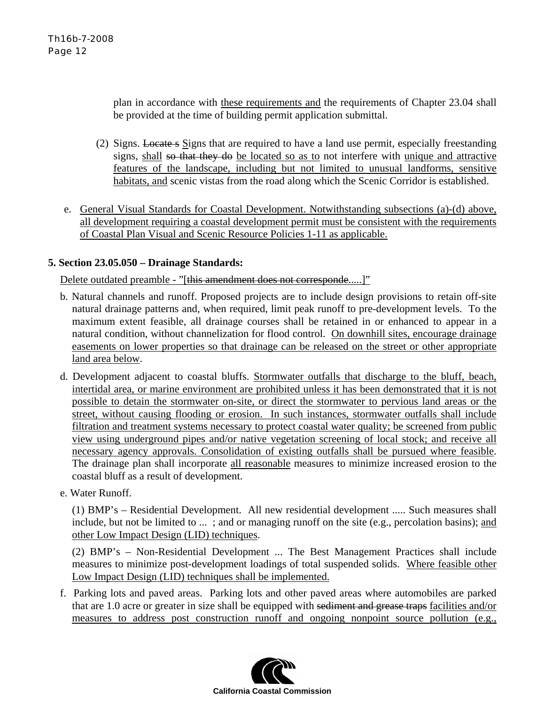plan in accordance with these requirements and the requirements of Chapter 23.04 shall be provided at the time of building permit application submittal.

- (2) Signs. Locate s Signs that are required to have a land use permit, especially freestanding signs, shall so that they do be located so as to not interfere with unique and attractive features of the landscape, including but not limited to unusual landforms, sensitive habitats, and scenic vistas from the road along which the Scenic Corridor is established.
- e. General Visual Standards for Coastal Development. Notwithstanding subsections (a)-(d) above, all development requiring a coastal development permit must be consistent with the requirements of Coastal Plan Visual and Scenic Resource Policies 1-11 as applicable.

### **5. Section 23.05.050 – Drainage Standards:**

Delete outdated preamble - "[this amendment does not corresponde.....]"

- b. Natural channels and runoff. Proposed projects are to include design provisions to retain off-site natural drainage patterns and, when required, limit peak runoff to pre-development levels. To the maximum extent feasible, all drainage courses shall be retained in or enhanced to appear in a natural condition, without channelization for flood control. On downhill sites, encourage drainage easements on lower properties so that drainage can be released on the street or other appropriate land area below.
- d. Development adjacent to coastal bluffs. Stormwater outfalls that discharge to the bluff, beach, intertidal area, or marine environment are prohibited unless it has been demonstrated that it is not possible to detain the stormwater on-site, or direct the stormwater to pervious land areas or the street, without causing flooding or erosion. In such instances, stormwater outfalls shall include filtration and treatment systems necessary to protect coastal water quality; be screened from public view using underground pipes and/or native vegetation screening of local stock; and receive all necessary agency approvals. Consolidation of existing outfalls shall be pursued where feasible. The drainage plan shall incorporate all reasonable measures to minimize increased erosion to the coastal bluff as a result of development.
- e. Water Runoff.

(1) BMP's – Residential Development. All new residential development ..... Such measures shall include, but not be limited to ... ; and or managing runoff on the site (e.g., percolation basins); and other Low Impact Design (LID) techniques.

(2) BMP's – Non-Residential Development ... The Best Management Practices shall include measures to minimize post-development loadings of total suspended solids. Where feasible other Low Impact Design (LID) techniques shall be implemented.

f. Parking lots and paved areas. Parking lots and other paved areas where automobiles are parked that are 1.0 acre or greater in size shall be equipped with sediment and grease traps facilities and/or measures to address post construction runoff and ongoing nonpoint source pollution (e.g.,

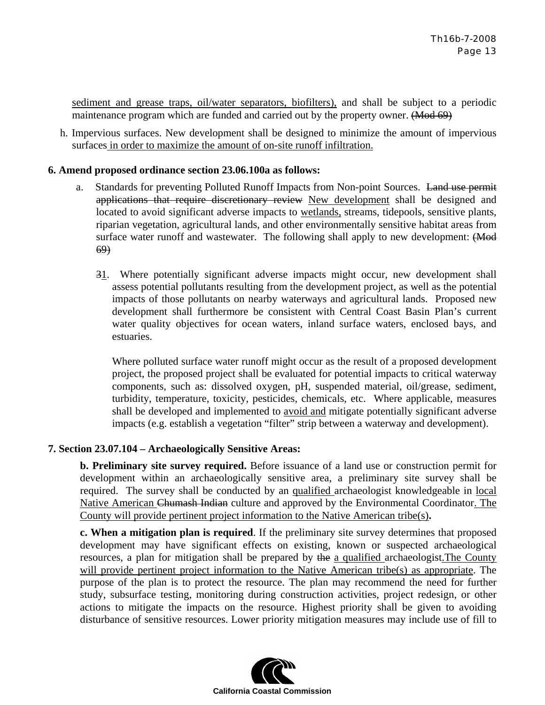sediment and grease traps, oil/water separators, biofilters), and shall be subject to a periodic maintenance program which are funded and carried out by the property owner. (Mod 69)

h. Impervious surfaces. New development shall be designed to minimize the amount of impervious surfaces in order to maximize the amount of on-site runoff infiltration.

### **6. Amend proposed ordinance section 23.06.100a as follows:**

- a. Standards for preventing Polluted Runoff Impacts from Non-point Sources. Land use permit applications that require discretionary review New development shall be designed and located to avoid significant adverse impacts to wetlands, streams, tidepools, sensitive plants, riparian vegetation, agricultural lands, and other environmentally sensitive habitat areas from surface water runoff and wastewater. The following shall apply to new development: (Mod 69)
	- 31. Where potentially significant adverse impacts might occur, new development shall assess potential pollutants resulting from the development project, as well as the potential impacts of those pollutants on nearby waterways and agricultural lands. Proposed new development shall furthermore be consistent with Central Coast Basin Plan's current water quality objectives for ocean waters, inland surface waters, enclosed bays, and estuaries.

Where polluted surface water runoff might occur as the result of a proposed development project, the proposed project shall be evaluated for potential impacts to critical waterway components, such as: dissolved oxygen, pH, suspended material, oil/grease, sediment, turbidity, temperature, toxicity, pesticides, chemicals, etc. Where applicable, measures shall be developed and implemented to avoid and mitigate potentially significant adverse impacts (e.g. establish a vegetation "filter" strip between a waterway and development).

### **7. Section 23.07.104 – Archaeologically Sensitive Areas:**

**b. Preliminary site survey required.** Before issuance of a land use or construction permit for development within an archaeologically sensitive area, a preliminary site survey shall be required. The survey shall be conducted by an qualified archaeologist knowledgeable in local Native American Chumash Indian culture and approved by the Environmental Coordinator. The County will provide pertinent project information to the Native American tribe(s)**.** 

**c. When a mitigation plan is required**. If the preliminary site survey determines that proposed development may have significant effects on existing, known or suspected archaeological resources, a plan for mitigation shall be prepared by the a qualified archaeologist. The County will provide pertinent project information to the Native American tribe(s) as appropriate. The purpose of the plan is to protect the resource. The plan may recommend the need for further study, subsurface testing, monitoring during construction activities, project redesign, or other actions to mitigate the impacts on the resource. Highest priority shall be given to avoiding disturbance of sensitive resources. Lower priority mitigation measures may include use of fill to

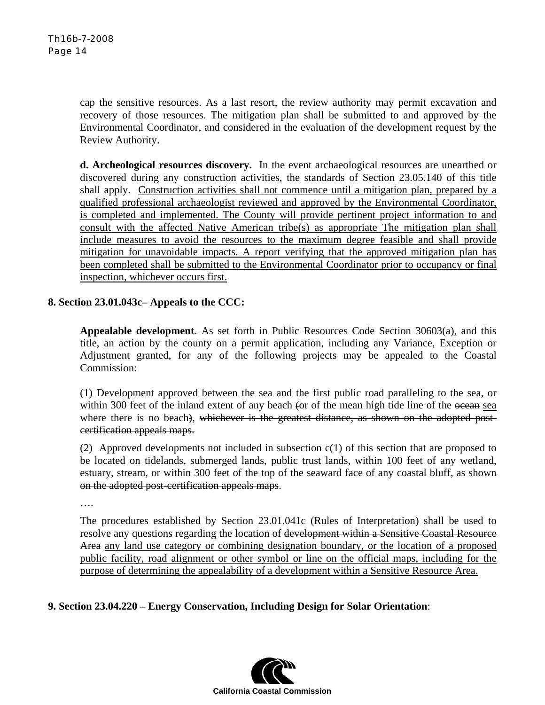cap the sensitive resources. As a last resort, the review authority may permit excavation and recovery of those resources. The mitigation plan shall be submitted to and approved by the Environmental Coordinator, and considered in the evaluation of the development request by the Review Authority.

**d. Archeological resources discovery.** In the event archaeological resources are unearthed or discovered during any construction activities, the standards of Section 23.05.140 of this title shall apply. Construction activities shall not commence until a mitigation plan, prepared by a qualified professional archaeologist reviewed and approved by the Environmental Coordinator, is completed and implemented. The County will provide pertinent project information to and consult with the affected Native American tribe(s) as appropriate The mitigation plan shall include measures to avoid the resources to the maximum degree feasible and shall provide mitigation for unavoidable impacts. A report verifying that the approved mitigation plan has been completed shall be submitted to the Environmental Coordinator prior to occupancy or final inspection, whichever occurs first.

### **8. Section 23.01.043c– Appeals to the CCC:**

**Appealable development.** As set forth in Public Resources Code Section 30603(a), and this title, an action by the county on a permit application, including any Variance, Exception or Adjustment granted, for any of the following projects may be appealed to the Coastal Commission:

(1) Development approved between the sea and the first public road paralleling to the sea, or within 300 feet of the inland extent of any beach (or of the mean high tide line of the ocean sea where there is no beach), whichever is the greatest distance, as shown on the adopted postcertification appeals maps.

(2) Approved developments not included in subsection  $c(1)$  of this section that are proposed to be located on tidelands, submerged lands, public trust lands, within 100 feet of any wetland, estuary, stream, or within 300 feet of the top of the seaward face of any coastal bluff, as shown on the adopted post-certification appeals maps.

….

The procedures established by Section 23.01.041c (Rules of Interpretation) shall be used to resolve any questions regarding the location of development within a Sensitive Coastal Resource Area any land use category or combining designation boundary, or the location of a proposed public facility, road alignment or other symbol or line on the official maps, including for the purpose of determining the appealability of a development within a Sensitive Resource Area.

### **9. Section 23.04.220 – Energy Conservation, Including Design for Solar Orientation**:

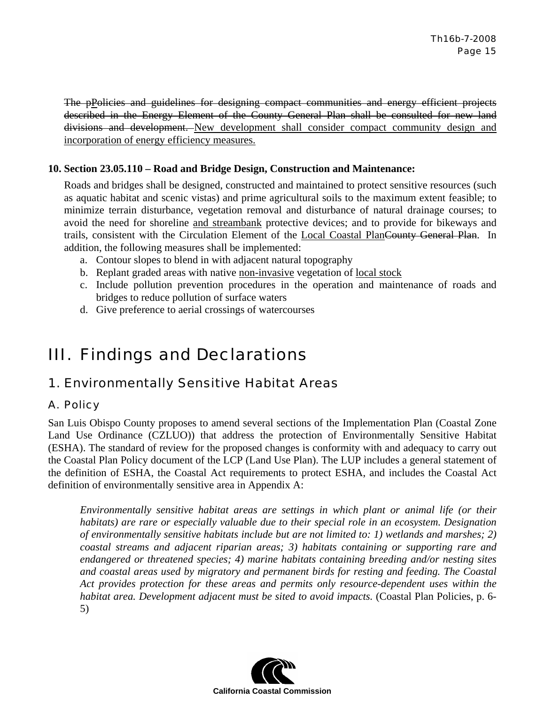The pPolicies and guidelines for designing compact communities and energy efficient projects described in the Energy Element of the County General Plan shall be consulted for new land divisions and development. New development shall consider compact community design and incorporation of energy efficiency measures.

### **10. Section 23.05.110 – Road and Bridge Design, Construction and Maintenance:**

Roads and bridges shall be designed, constructed and maintained to protect sensitive resources (such as aquatic habitat and scenic vistas) and prime agricultural soils to the maximum extent feasible; to minimize terrain disturbance, vegetation removal and disturbance of natural drainage courses; to avoid the need for shoreline and streambank protective devices; and to provide for bikeways and trails, consistent with the Circulation Element of the Local Coastal PlanCounty General Plan. In addition, the following measures shall be implemented:

- a. Contour slopes to blend in with adjacent natural topography
- b. Replant graded areas with native non-invasive vegetation of local stock
- c. Include pollution prevention procedures in the operation and maintenance of roads and bridges to reduce pollution of surface waters
- d. Give preference to aerial crossings of watercourses

# III. Findings and Declarations

# 1. Environmentally Sensitive Habitat Areas

### A. Policy

San Luis Obispo County proposes to amend several sections of the Implementation Plan (Coastal Zone Land Use Ordinance (CZLUO)) that address the protection of Environmentally Sensitive Habitat (ESHA). The standard of review for the proposed changes is conformity with and adequacy to carry out the Coastal Plan Policy document of the LCP (Land Use Plan). The LUP includes a general statement of the definition of ESHA, the Coastal Act requirements to protect ESHA, and includes the Coastal Act definition of environmentally sensitive area in Appendix A:

*Environmentally sensitive habitat areas are settings in which plant or animal life (or their habitats) are rare or especially valuable due to their special role in an ecosystem. Designation of environmentally sensitive habitats include but are not limited to: 1) wetlands and marshes; 2) coastal streams and adjacent riparian areas; 3) habitats containing or supporting rare and endangered or threatened species; 4) marine habitats containing breeding and/or nesting sites and coastal areas used by migratory and permanent birds for resting and feeding. The Coastal Act provides protection for these areas and permits only resource-dependent uses within the habitat area. Development adjacent must be sited to avoid impacts.* (Coastal Plan Policies, p. 6- 5)

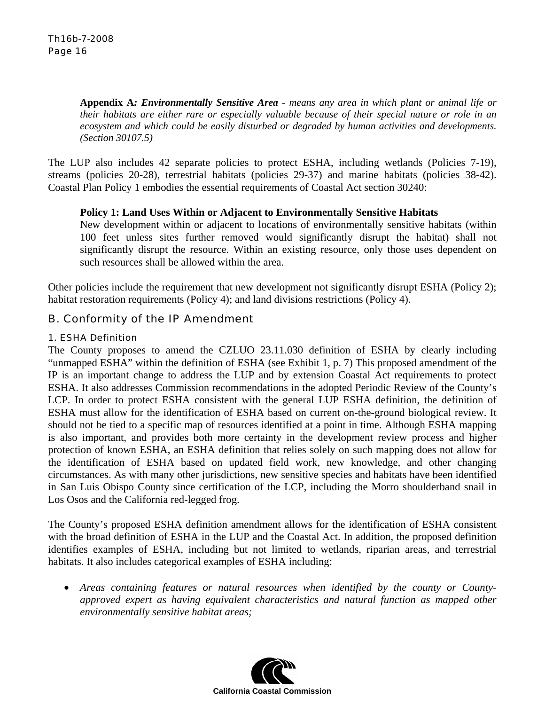**Appendix A***: Environmentally Sensitive Area - means any area in which plant or animal life or their habitats are either rare or especially valuable because of their special nature or role in an ecosystem and which could be easily disturbed or degraded by human activities and developments. (Section 30107.5)*

The LUP also includes 42 separate policies to protect ESHA, including wetlands (Policies 7-19), streams (policies 20-28), terrestrial habitats (policies 29-37) and marine habitats (policies 38-42). Coastal Plan Policy 1 embodies the essential requirements of Coastal Act section 30240:

### **Policy 1: Land Uses Within or Adjacent to Environmentally Sensitive Habitats**

New development within or adjacent to locations of environmentally sensitive habitats (within 100 feet unless sites further removed would significantly disrupt the habitat) shall not significantly disrupt the resource. Within an existing resource, only those uses dependent on such resources shall be allowed within the area.

Other policies include the requirement that new development not significantly disrupt ESHA (Policy 2); habitat restoration requirements (Policy 4); and land divisions restrictions (Policy 4).

### B. Conformity of the IP Amendment

### 1. ESHA Definition

The County proposes to amend the CZLUO 23.11.030 definition of ESHA by clearly including "unmapped ESHA" within the definition of ESHA (see Exhibit 1, p. 7) This proposed amendment of the IP is an important change to address the LUP and by extension Coastal Act requirements to protect ESHA. It also addresses Commission recommendations in the adopted Periodic Review of the County's LCP. In order to protect ESHA consistent with the general LUP ESHA definition, the definition of ESHA must allow for the identification of ESHA based on current on-the-ground biological review. It should not be tied to a specific map of resources identified at a point in time. Although ESHA mapping is also important, and provides both more certainty in the development review process and higher protection of known ESHA, an ESHA definition that relies solely on such mapping does not allow for the identification of ESHA based on updated field work, new knowledge, and other changing circumstances. As with many other jurisdictions, new sensitive species and habitats have been identified in San Luis Obispo County since certification of the LCP, including the Morro shoulderband snail in Los Osos and the California red-legged frog.

The County's proposed ESHA definition amendment allows for the identification of ESHA consistent with the broad definition of ESHA in the LUP and the Coastal Act. In addition, the proposed definition identifies examples of ESHA, including but not limited to wetlands, riparian areas, and terrestrial habitats. It also includes categorical examples of ESHA including:

• *Areas containing features or natural resources when identified by the county or Countyapproved expert as having equivalent characteristics and natural function as mapped other environmentally sensitive habitat areas;* 

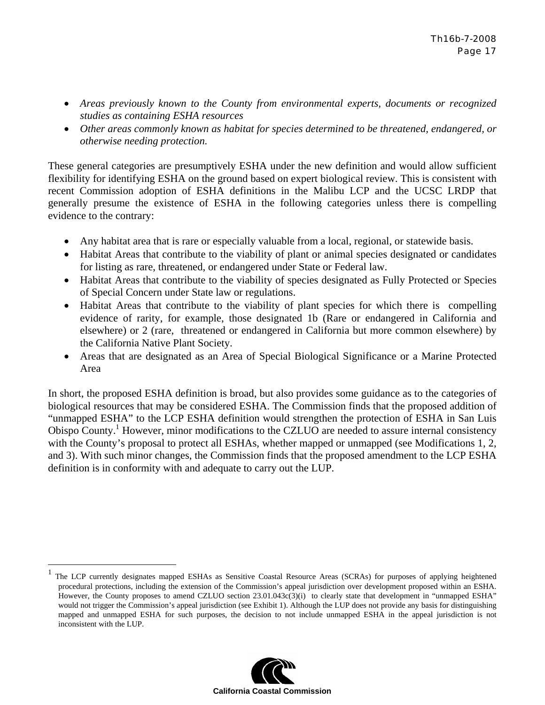- *Areas previously known to the County from environmental experts, documents or recognized studies as containing ESHA resources*
- *Other areas commonly known as habitat for species determined to be threatened, endangered, or otherwise needing protection.*

These general categories are presumptively ESHA under the new definition and would allow sufficient flexibility for identifying ESHA on the ground based on expert biological review. This is consistent with recent Commission adoption of ESHA definitions in the Malibu LCP and the UCSC LRDP that generally presume the existence of ESHA in the following categories unless there is compelling evidence to the contrary:

- Any habitat area that is rare or especially valuable from a local, regional, or statewide basis.
- Habitat Areas that contribute to the viability of plant or animal species designated or candidates for listing as rare, threatened, or endangered under State or Federal law.
- Habitat Areas that contribute to the viability of species designated as Fully Protected or Species of Special Concern under State law or regulations.
- Habitat Areas that contribute to the viability of plant species for which there is compelling evidence of rarity, for example, those designated 1b (Rare or endangered in California and elsewhere) or 2 (rare, threatened or endangered in California but more common elsewhere) by the California Native Plant Society.
- Areas that are designated as an Area of Special Biological Significance or a Marine Protected Area

In short, the proposed ESHA definition is broad, but also provides some guidance as to the categories of biological resources that may be considered ESHA. The Commission finds that the proposed addition of "unmapped ESHA" to the LCP ESHA definition would strengthen the protection of ESHA in San Luis Obispo County.<sup>1</sup> However, minor modifications to the CZLUO are needed to assure internal consistency with the County's proposal to protect all ESHAs, whether mapped or unmapped (see Modifications 1, 2, and 3). With such minor changes, the Commission finds that the proposed amendment to the LCP ESHA definition is in conformity with and adequate to carry out the LUP.

1



The LCP currently designates mapped ESHAs as Sensitive Coastal Resource Areas (SCRAs) for purposes of applying heightened procedural protections, including the extension of the Commission's appeal jurisdiction over development proposed within an ESHA. However, the County proposes to amend CZLUO section 23.01.043c(3)(i) to clearly state that development in "unmapped ESHA" would not trigger the Commission's appeal jurisdiction (see Exhibit 1). Although the LUP does not provide any basis for distinguishing mapped and unmapped ESHA for such purposes, the decision to not include unmapped ESHA in the appeal jurisdiction is not inconsistent with the LUP.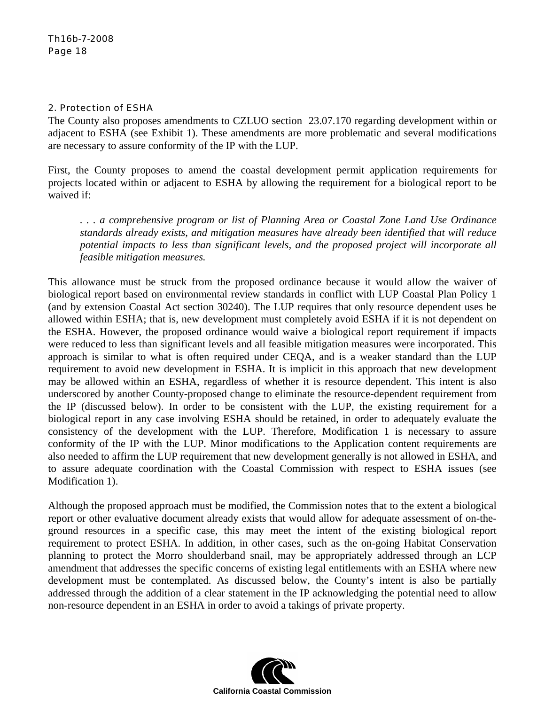### 2. Protection of ESHA

The County also proposes amendments to CZLUO section 23.07.170 regarding development within or adjacent to ESHA (see Exhibit 1). These amendments are more problematic and several modifications are necessary to assure conformity of the IP with the LUP.

First, the County proposes to amend the coastal development permit application requirements for projects located within or adjacent to ESHA by allowing the requirement for a biological report to be waived if:

*. . . a comprehensive program or list of Planning Area or Coastal Zone Land Use Ordinance standards already exists, and mitigation measures have already been identified that will reduce potential impacts to less than significant levels, and the proposed project will incorporate all feasible mitigation measures.* 

This allowance must be struck from the proposed ordinance because it would allow the waiver of biological report based on environmental review standards in conflict with LUP Coastal Plan Policy 1 (and by extension Coastal Act section 30240). The LUP requires that only resource dependent uses be allowed within ESHA; that is, new development must completely avoid ESHA if it is not dependent on the ESHA. However, the proposed ordinance would waive a biological report requirement if impacts were reduced to less than significant levels and all feasible mitigation measures were incorporated. This approach is similar to what is often required under CEQA, and is a weaker standard than the LUP requirement to avoid new development in ESHA. It is implicit in this approach that new development may be allowed within an ESHA, regardless of whether it is resource dependent. This intent is also underscored by another County-proposed change to eliminate the resource-dependent requirement from the IP (discussed below). In order to be consistent with the LUP, the existing requirement for a biological report in any case involving ESHA should be retained, in order to adequately evaluate the consistency of the development with the LUP. Therefore, Modification 1 is necessary to assure conformity of the IP with the LUP. Minor modifications to the Application content requirements are also needed to affirm the LUP requirement that new development generally is not allowed in ESHA, and to assure adequate coordination with the Coastal Commission with respect to ESHA issues (see Modification 1).

Although the proposed approach must be modified, the Commission notes that to the extent a biological report or other evaluative document already exists that would allow for adequate assessment of on-theground resources in a specific case, this may meet the intent of the existing biological report requirement to protect ESHA. In addition, in other cases, such as the on-going Habitat Conservation planning to protect the Morro shoulderband snail, may be appropriately addressed through an LCP amendment that addresses the specific concerns of existing legal entitlements with an ESHA where new development must be contemplated. As discussed below, the County's intent is also be partially addressed through the addition of a clear statement in the IP acknowledging the potential need to allow non-resource dependent in an ESHA in order to avoid a takings of private property.

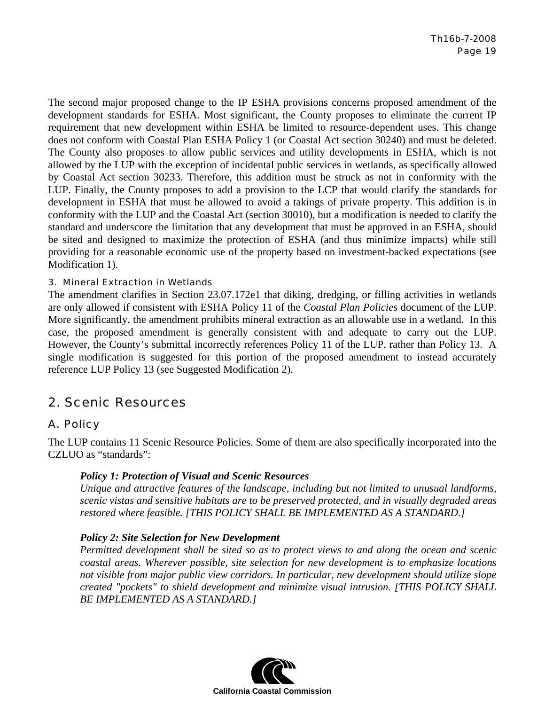The second major proposed change to the IP ESHA provisions concerns proposed amendment of the development standards for ESHA. Most significant, the County proposes to eliminate the current IP requirement that new development within ESHA be limited to resource-dependent uses. This change does not conform with Coastal Plan ESHA Policy 1 (or Coastal Act section 30240) and must be deleted. The County also proposes to allow public services and utility developments in ESHA, which is not allowed by the LUP with the exception of incidental public services in wetlands, as specifically allowed by Coastal Act section 30233. Therefore, this addition must be struck as not in conformity with the LUP. Finally, the County proposes to add a provision to the LCP that would clarify the standards for development in ESHA that must be allowed to avoid a takings of private property. This addition is in conformity with the LUP and the Coastal Act (section 30010), but a modification is needed to clarify the standard and underscore the limitation that any development that must be approved in an ESHA, should be sited and designed to maximize the protection of ESHA (and thus minimize impacts) while still providing for a reasonable economic use of the property based on investment-backed expectations (see Modification 1).

### 3. Mineral Extraction in Wetlands

The amendment clarifies in Section 23.07.172e1 that diking, dredging, or filling activities in wetlands are only allowed if consistent with ESHA Policy 11 of the *Coastal Plan Policies* document of the LUP. More significantly, the amendment prohibits mineral extraction as an allowable use in a wetland. In this case, the proposed amendment is generally consistent with and adequate to carry out the LUP. However, the County's submittal incorrectly references Policy 11 of the LUP, rather than Policy 13. A single modification is suggested for this portion of the proposed amendment to instead accurately reference LUP Policy 13 (see Suggested Modification 2).

### 2. Scenic Resources

### A. Policy

The LUP contains 11 Scenic Resource Policies. Some of them are also specifically incorporated into the CZLUO as "standards":

### *Policy 1: Protection of Visual and Scenic Resources*

*Unique and attractive features of the landscape, including but not limited to unusual landforms, scenic vistas and sensitive habitats are to be preserved protected, and in visually degraded areas restored where feasible. [THIS POLICY SHALL BE IMPLEMENTED AS A STANDARD.]*

### *Policy 2: Site Selection for New Development*

*Permitted development shall be sited so as to protect views to and along the ocean and scenic coastal areas. Wherever possible, site selection for new development is to emphasize locations not visible from major public view corridors. In particular, new development should utilize slope created "pockets" to shield development and minimize visual intrusion. [THIS POLICY SHALL BE IMPLEMENTED AS A STANDARD.]*

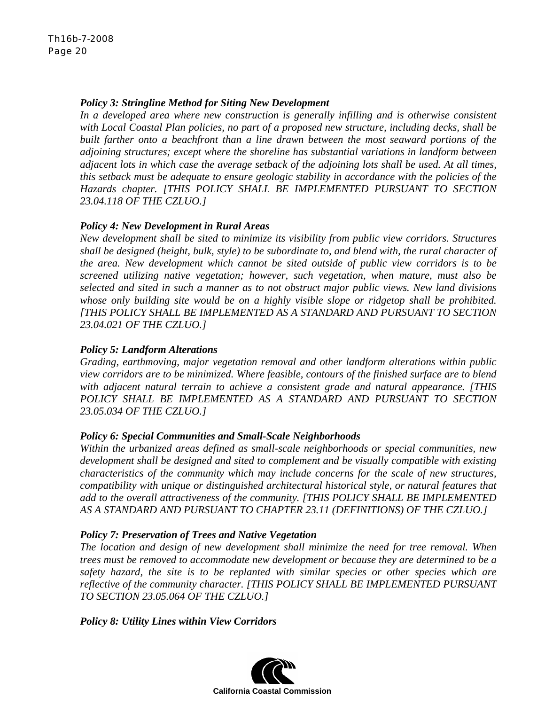### *Policy 3: Stringline Method for Siting New Development*

In a developed area where new construction is generally infilling and is otherwise consistent *with Local Coastal Plan policies, no part of a proposed new structure, including decks, shall be built farther onto a beachfront than a line drawn between the most seaward portions of the adjoining structures; except where the shoreline has substantial variations in landform between adjacent lots in which case the average setback of the adjoining lots shall be used. At all times, this setback must be adequate to ensure geologic stability in accordance with the policies of the Hazards chapter. [THIS POLICY SHALL BE IMPLEMENTED PURSUANT TO SECTION 23.04.118 OF THE CZLUO.]*

### *Policy 4: New Development in Rural Areas*

*New development shall be sited to minimize its visibility from public view corridors. Structures shall be designed (height, bulk, style) to be subordinate to, and blend with, the rural character of the area. New development which cannot be sited outside of public view corridors is to be screened utilizing native vegetation; however, such vegetation, when mature, must also be selected and sited in such a manner as to not obstruct major public views. New land divisions whose only building site would be on a highly visible slope or ridgetop shall be prohibited. [THIS POLICY SHALL BE IMPLEMENTED AS A STANDARD AND PURSUANT TO SECTION 23.04.021 OF THE CZLUO.]*

### *Policy 5: Landform Alterations*

*Grading, earthmoving, major vegetation removal and other landform alterations within public view corridors are to be minimized. Where feasible, contours of the finished surface are to blend with adjacent natural terrain to achieve a consistent grade and natural appearance. [THIS POLICY SHALL BE IMPLEMENTED AS A STANDARD AND PURSUANT TO SECTION 23.05.034 OF THE CZLUO.]*

### *Policy 6: Special Communities and Small-Scale Neighborhoods*

*Within the urbanized areas defined as small-scale neighborhoods or special communities, new development shall be designed and sited to complement and be visually compatible with existing characteristics of the community which may include concerns for the scale of new structures, compatibility with unique or distinguished architectural historical style, or natural features that add to the overall attractiveness of the community. [THIS POLICY SHALL BE IMPLEMENTED AS A STANDARD AND PURSUANT TO CHAPTER 23.11 (DEFINITIONS) OF THE CZLUO.]*

### *Policy 7: Preservation of Trees and Native Vegetation*

*The location and design of new development shall minimize the need for tree removal. When trees must be removed to accommodate new development or because they are determined to be a*  safety hazard, the site is to be replanted with similar species or other species which are *reflective of the community character. [THIS POLICY SHALL BE IMPLEMENTED PURSUANT TO SECTION 23.05.064 OF THE CZLUO.]*

*Policy 8: Utility Lines within View Corridors* 

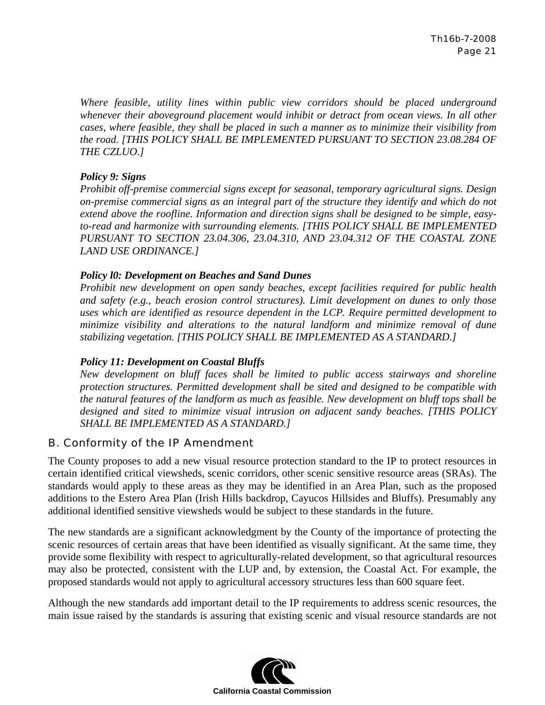*Where feasible, utility lines within public view corridors should be placed underground whenever their aboveground placement would inhibit or detract from ocean views. In all other cases, where feasible, they shall be placed in such a manner as to minimize their visibility from the road. [THIS POLICY SHALL BE IMPLEMENTED PURSUANT TO SECTION 23.08.284 OF THE CZLUO.]*

### *Policy 9: Signs*

*Prohibit off-premise commercial signs except for seasonal, temporary agricultural signs. Design on-premise commercial signs as an integral part of the structure they identify and which do not extend above the roofline. Information and direction signs shall be designed to be simple, easyto-read and harmonize with surrounding elements. [THIS POLICY SHALL BE IMPLEMENTED PURSUANT TO SECTION 23.04.306, 23.04.310, AND 23.04.312 OF THE COASTAL ZONE LAND USE ORDINANCE.]*

### *Policy l0: Development on Beaches and Sand Dunes*

*Prohibit new development on open sandy beaches, except facilities required for public health and safety (e.g., beach erosion control structures). Limit development on dunes to only those uses which are identified as resource dependent in the LCP. Require permitted development to minimize visibility and alterations to the natural landform and minimize removal of dune stabilizing vegetation. [THIS POLICY SHALL BE IMPLEMENTED AS A STANDARD.]*

### *Policy 11: Development on Coastal Bluffs*

*New development on bluff faces shall be limited to public access stairways and shoreline protection structures. Permitted development shall be sited and designed to be compatible with the natural features of the landform as much as feasible. New development on bluff tops shall be designed and sited to minimize visual intrusion on adjacent sandy beaches. [THIS POLICY SHALL BE IMPLEMENTED AS A STANDARD.]*

### B. Conformity of the IP Amendment

The County proposes to add a new visual resource protection standard to the IP to protect resources in certain identified critical viewsheds, scenic corridors, other scenic sensitive resource areas (SRAs). The standards would apply to these areas as they may be identified in an Area Plan, such as the proposed additions to the Estero Area Plan (Irish Hills backdrop, Cayucos Hillsides and Bluffs). Presumably any additional identified sensitive viewsheds would be subject to these standards in the future.

The new standards are a significant acknowledgment by the County of the importance of protecting the scenic resources of certain areas that have been identified as visually significant. At the same time, they provide some flexibility with respect to agriculturally-related development, so that agricultural resources may also be protected, consistent with the LUP and, by extension, the Coastal Act. For example, the proposed standards would not apply to agricultural accessory structures less than 600 square feet.

Although the new standards add important detail to the IP requirements to address scenic resources, the main issue raised by the standards is assuring that existing scenic and visual resource standards are not

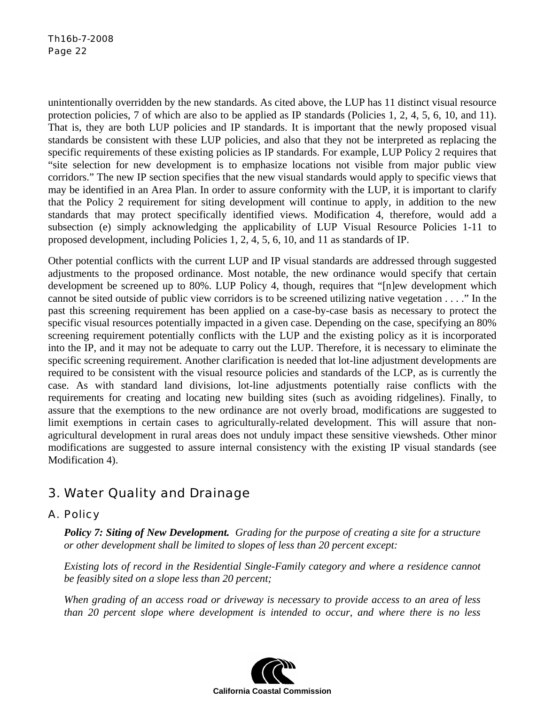unintentionally overridden by the new standards. As cited above, the LUP has 11 distinct visual resource protection policies, 7 of which are also to be applied as IP standards (Policies 1, 2, 4, 5, 6, 10, and 11). That is, they are both LUP policies and IP standards. It is important that the newly proposed visual standards be consistent with these LUP policies, and also that they not be interpreted as replacing the specific requirements of these existing policies as IP standards. For example, LUP Policy 2 requires that "site selection for new development is to emphasize locations not visible from major public view corridors." The new IP section specifies that the new visual standards would apply to specific views that may be identified in an Area Plan. In order to assure conformity with the LUP, it is important to clarify that the Policy 2 requirement for siting development will continue to apply, in addition to the new standards that may protect specifically identified views. Modification 4, therefore, would add a subsection (e) simply acknowledging the applicability of LUP Visual Resource Policies 1-11 to proposed development, including Policies 1, 2, 4, 5, 6, 10, and 11 as standards of IP.

Other potential conflicts with the current LUP and IP visual standards are addressed through suggested adjustments to the proposed ordinance. Most notable, the new ordinance would specify that certain development be screened up to 80%. LUP Policy 4, though, requires that "[n]ew development which cannot be sited outside of public view corridors is to be screened utilizing native vegetation . . . ." In the past this screening requirement has been applied on a case-by-case basis as necessary to protect the specific visual resources potentially impacted in a given case. Depending on the case, specifying an 80% screening requirement potentially conflicts with the LUP and the existing policy as it is incorporated into the IP, and it may not be adequate to carry out the LUP. Therefore, it is necessary to eliminate the specific screening requirement. Another clarification is needed that lot-line adjustment developments are required to be consistent with the visual resource policies and standards of the LCP, as is currently the case. As with standard land divisions, lot-line adjustments potentially raise conflicts with the requirements for creating and locating new building sites (such as avoiding ridgelines). Finally, to assure that the exemptions to the new ordinance are not overly broad, modifications are suggested to limit exemptions in certain cases to agriculturally-related development. This will assure that nonagricultural development in rural areas does not unduly impact these sensitive viewsheds. Other minor modifications are suggested to assure internal consistency with the existing IP visual standards (see Modification 4).

# 3. Water Quality and Drainage

### A. Policy

*Policy 7: Siting of New Development. Grading for the purpose of creating a site for a structure or other development shall be limited to slopes of less than 20 percent except:* 

*Existing lots of record in the Residential Single-Family category and where a residence cannot be feasibly sited on a slope less than 20 percent;* 

*When grading of an access road or driveway is necessary to provide access to an area of less than 20 percent slope where development is intended to occur, and where there is no less* 

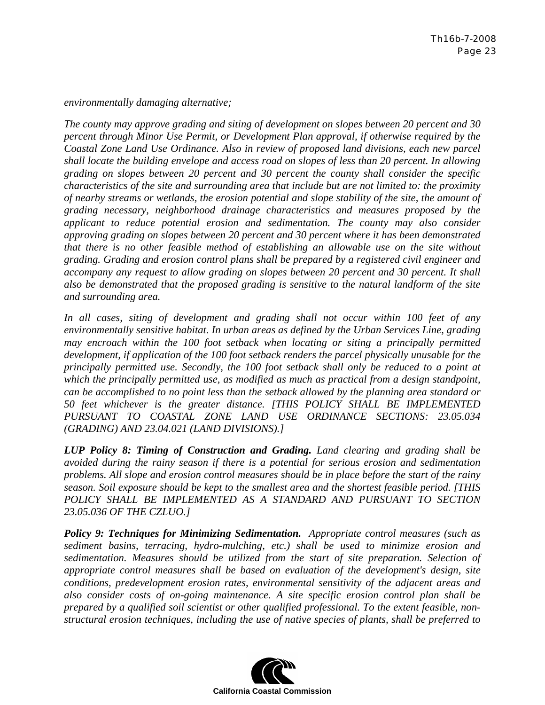*environmentally damaging alternative;* 

*The county may approve grading and siting of development on slopes between 20 percent and 30 percent through Minor Use Permit, or Development Plan approval, if otherwise required by the Coastal Zone Land Use Ordinance. Also in review of proposed land divisions, each new parcel shall locate the building envelope and access road on slopes of less than 20 percent. In allowing grading on slopes between 20 percent and 30 percent the county shall consider the specific characteristics of the site and surrounding area that include but are not limited to: the proximity of nearby streams or wetlands, the erosion potential and slope stability of the site, the amount of grading necessary, neighborhood drainage characteristics and measures proposed by the applicant to reduce potential erosion and sedimentation. The county may also consider approving grading on slopes between 20 percent and 30 percent where it has been demonstrated that there is no other feasible method of establishing an allowable use on the site without grading. Grading and erosion control plans shall be prepared by a registered civil engineer and accompany any request to allow grading on slopes between 20 percent and 30 percent. It shall also be demonstrated that the proposed grading is sensitive to the natural landform of the site and surrounding area.* 

*In all cases, siting of development and grading shall not occur within 100 feet of any environmentally sensitive habitat. In urban areas as defined by the Urban Services Line, grading may encroach within the 100 foot setback when locating or siting a principally permitted development, if application of the 100 foot setback renders the parcel physically unusable for the principally permitted use. Secondly, the 100 foot setback shall only be reduced to a point at which the principally permitted use, as modified as much as practical from a design standpoint, can be accomplished to no point less than the setback allowed by the planning area standard or 50 feet whichever is the greater distance. [THIS POLICY SHALL BE IMPLEMENTED PURSUANT TO COASTAL ZONE LAND USE ORDINANCE SECTIONS: 23.05.034 (GRADING) AND 23.04.021 (LAND DIVISIONS).]*

*LUP Policy 8: Timing of Construction and Grading. Land clearing and grading shall be avoided during the rainy season if there is a potential for serious erosion and sedimentation problems. All slope and erosion control measures should be in place before the start of the rainy season. Soil exposure should be kept to the smallest area and the shortest feasible period. [THIS*  POLICY SHALL BE IMPLEMENTED AS A STANDARD AND PURSUANT TO SECTION *23.05.036 OF THE CZLUO.]*

*Policy 9: Techniques for Minimizing Sedimentation. Appropriate control measures (such as sediment basins, terracing, hydro-mulching, etc.) shall be used to minimize erosion and sedimentation. Measures should be utilized from the start of site preparation. Selection of appropriate control measures shall be based on evaluation of the development's design, site conditions, predevelopment erosion rates, environmental sensitivity of the adjacent areas and also consider costs of on-going maintenance. A site specific erosion control plan shall be prepared by a qualified soil scientist or other qualified professional. To the extent feasible, nonstructural erosion techniques, including the use of native species of plants, shall be preferred to* 

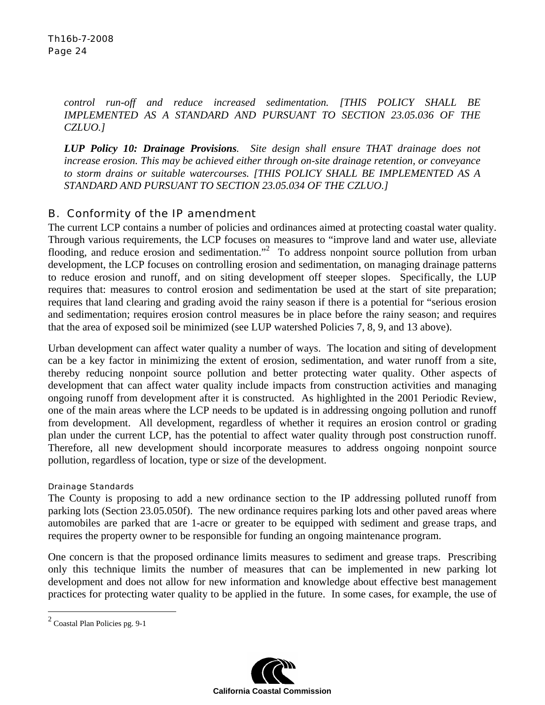*control run-off and reduce increased sedimentation. [THIS POLICY SHALL BE IMPLEMENTED AS A STANDARD AND PURSUANT TO SECTION 23.05.036 OF THE CZLUO.]*

*LUP Policy 10: Drainage Provisions. Site design shall ensure THAT drainage does not increase erosion. This may be achieved either through on-site drainage retention, or conveyance to storm drains or suitable watercourses. [THIS POLICY SHALL BE IMPLEMENTED AS A STANDARD AND PURSUANT TO SECTION 23.05.034 OF THE CZLUO.]*

### B. Conformity of the IP amendment

The current LCP contains a number of policies and ordinances aimed at protecting coastal water quality. Through various requirements, the LCP focuses on measures to "improve land and water use, alleviate flooding, and reduce erosion and sedimentation."<sup>2</sup> To address nonpoint source pollution from urban development, the LCP focuses on controlling erosion and sedimentation, on managing drainage patterns to reduce erosion and runoff, and on siting development off steeper slopes. Specifically, the LUP requires that: measures to control erosion and sedimentation be used at the start of site preparation; requires that land clearing and grading avoid the rainy season if there is a potential for "serious erosion and sedimentation; requires erosion control measures be in place before the rainy season; and requires that the area of exposed soil be minimized (see LUP watershed Policies 7, 8, 9, and 13 above).

Urban development can affect water quality a number of ways. The location and siting of development can be a key factor in minimizing the extent of erosion, sedimentation, and water runoff from a site, thereby reducing nonpoint source pollution and better protecting water quality. Other aspects of development that can affect water quality include impacts from construction activities and managing ongoing runoff from development after it is constructed. As highlighted in the 2001 Periodic Review, one of the main areas where the LCP needs to be updated is in addressing ongoing pollution and runoff from development. All development, regardless of whether it requires an erosion control or grading plan under the current LCP, has the potential to affect water quality through post construction runoff. Therefore, all new development should incorporate measures to address ongoing nonpoint source pollution, regardless of location, type or size of the development.

### Drainage Standards

The County is proposing to add a new ordinance section to the IP addressing polluted runoff from parking lots (Section 23.05.050f). The new ordinance requires parking lots and other paved areas where automobiles are parked that are 1-acre or greater to be equipped with sediment and grease traps, and requires the property owner to be responsible for funding an ongoing maintenance program.

One concern is that the proposed ordinance limits measures to sediment and grease traps. Prescribing only this technique limits the number of measures that can be implemented in new parking lot development and does not allow for new information and knowledge about effective best management practices for protecting water quality to be applied in the future. In some cases, for example, the use of

 $\overline{a}$ 



 $2^2$  Coastal Plan Policies pg. 9-1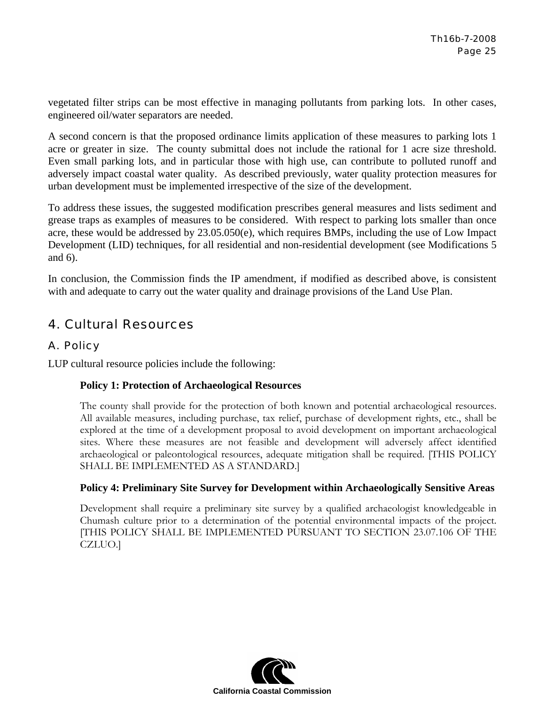vegetated filter strips can be most effective in managing pollutants from parking lots. In other cases, engineered oil/water separators are needed.

A second concern is that the proposed ordinance limits application of these measures to parking lots 1 acre or greater in size. The county submittal does not include the rational for 1 acre size threshold. Even small parking lots, and in particular those with high use, can contribute to polluted runoff and adversely impact coastal water quality. As described previously, water quality protection measures for urban development must be implemented irrespective of the size of the development.

To address these issues, the suggested modification prescribes general measures and lists sediment and grease traps as examples of measures to be considered. With respect to parking lots smaller than once acre, these would be addressed by  $23.05.050(e)$ , which requires BMPs, including the use of Low Impact Development (LID) techniques, for all residential and non-residential development (see Modifications 5 and 6).

In conclusion, the Commission finds the IP amendment, if modified as described above, is consistent with and adequate to carry out the water quality and drainage provisions of the Land Use Plan.

# 4. Cultural Resources

### A. Policy

LUP cultural resource policies include the following:

### **Policy 1: Protection of Archaeological Resources**

The county shall provide for the protection of both known and potential archaeological resources. All available measures, including purchase, tax relief, purchase of development rights, etc., shall be explored at the time of a development proposal to avoid development on important archaeological sites. Where these measures are not feasible and development will adversely affect identified archaeological or paleontological resources, adequate mitigation shall be required. [THIS POLICY SHALL BE IMPLEMENTED AS A STANDARD.]

### **Policy 4: Preliminary Site Survey for Development within Archaeologically Sensitive Areas**

Development shall require a preliminary site survey by a qualified archaeologist knowledgeable in Chumash culture prior to a determination of the potential environmental impacts of the project. [THIS POLICY SHALL BE IMPLEMENTED PURSUANT TO SECTION 23.07.106 OF THE CZLUO.]